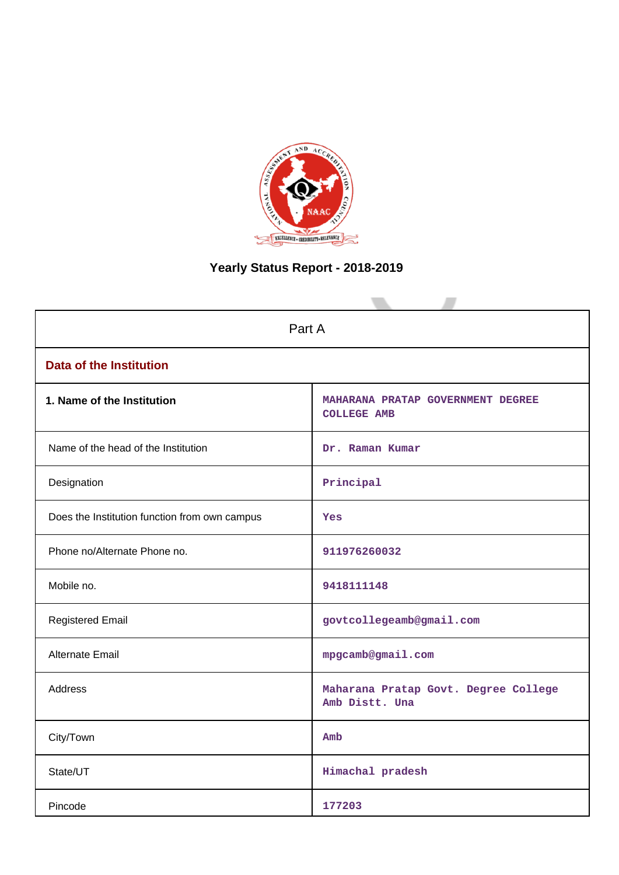

# **Yearly Status Report - 2018-2019**

| Part A                                        |                                                         |  |  |  |
|-----------------------------------------------|---------------------------------------------------------|--|--|--|
| <b>Data of the Institution</b>                |                                                         |  |  |  |
| 1. Name of the Institution                    | MAHARANA PRATAP GOVERNMENT DEGREE<br><b>COLLEGE AMB</b> |  |  |  |
| Name of the head of the Institution           | Dr. Raman Kumar                                         |  |  |  |
| Designation                                   | Principal                                               |  |  |  |
| Does the Institution function from own campus | Yes                                                     |  |  |  |
| Phone no/Alternate Phone no.                  | 911976260032                                            |  |  |  |
| Mobile no.                                    | 9418111148                                              |  |  |  |
| <b>Registered Email</b>                       | govtcollegeamb@gmail.com                                |  |  |  |
| Alternate Email                               | mpgcamb@gmail.com                                       |  |  |  |
| <b>Address</b>                                | Maharana Pratap Govt. Degree College<br>Amb Distt. Una  |  |  |  |
| City/Town                                     | Amb                                                     |  |  |  |
| State/UT                                      | Himachal pradesh                                        |  |  |  |
| Pincode                                       | 177203                                                  |  |  |  |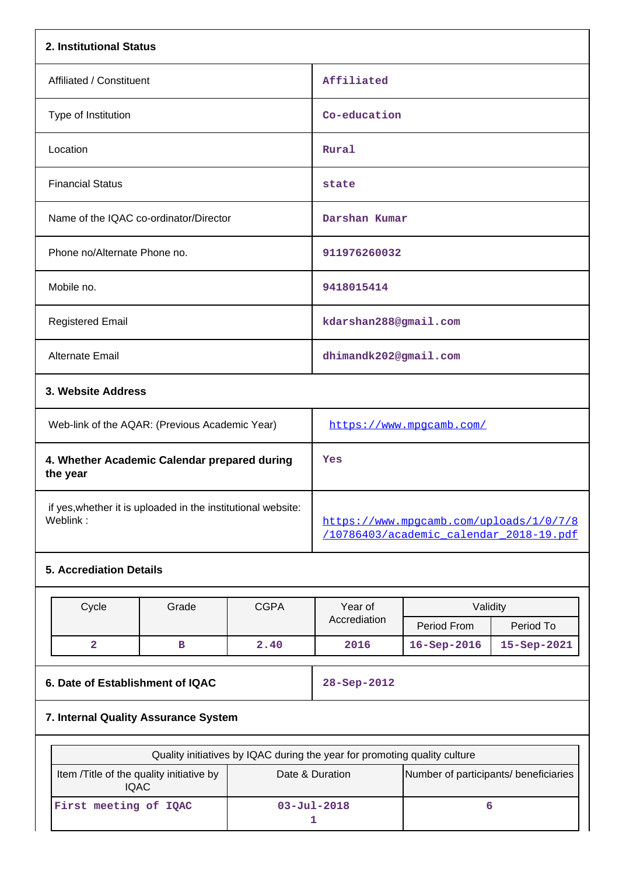| 2. Institutional Status                                                  |                                                                                    |
|--------------------------------------------------------------------------|------------------------------------------------------------------------------------|
| Affiliated / Constituent                                                 | Affiliated                                                                         |
| Type of Institution                                                      | Co-education                                                                       |
| Location                                                                 | Rural                                                                              |
| <b>Financial Status</b>                                                  | state                                                                              |
| Name of the IQAC co-ordinator/Director                                   | Darshan Kumar                                                                      |
| Phone no/Alternate Phone no.                                             | 911976260032                                                                       |
| Mobile no.                                                               | 9418015414                                                                         |
| <b>Registered Email</b>                                                  | kdarshan288@gmail.com                                                              |
| Alternate Email                                                          | dhimandk202@gmail.com                                                              |
| 3. Website Address                                                       |                                                                                    |
| Web-link of the AQAR: (Previous Academic Year)                           | https://www.mpgcamb.com/                                                           |
| 4. Whether Academic Calendar prepared during<br>the year                 | Yes                                                                                |
| if yes, whether it is uploaded in the institutional website:<br>Weblink: | https://www.mpgcamb.com/uploads/1/0/7/8<br>/10786403/academic calendar 2018-19.pdf |
| <b>5. Accrediation Details</b>                                           |                                                                                    |

| Cycle                                | Grade | <b>CGPA</b> | Year of           | Validity           |             |  |  |
|--------------------------------------|-------|-------------|-------------------|--------------------|-------------|--|--|
|                                      |       |             | Accrediation      | Period From        | Period To   |  |  |
| 2                                    | в     | 2.40        | 2016              | $16 -$ Sep $-2016$ | 15-Sep-2021 |  |  |
|                                      |       |             |                   |                    |             |  |  |
| 6. Date of Establishment of IQAC     |       |             | $28 - Sep - 2012$ |                    |             |  |  |
| 7. Internal Quality Assurance System |       |             |                   |                    |             |  |  |

| Quality initiatives by IQAC during the year for promoting quality culture                                           |                   |  |  |  |  |  |
|---------------------------------------------------------------------------------------------------------------------|-------------------|--|--|--|--|--|
| Number of participants/ beneficiaries<br>Item /Title of the quality initiative by<br>Date & Duration<br><b>IQAC</b> |                   |  |  |  |  |  |
| First meeting of IQAC                                                                                               | $03 - Jul - 2018$ |  |  |  |  |  |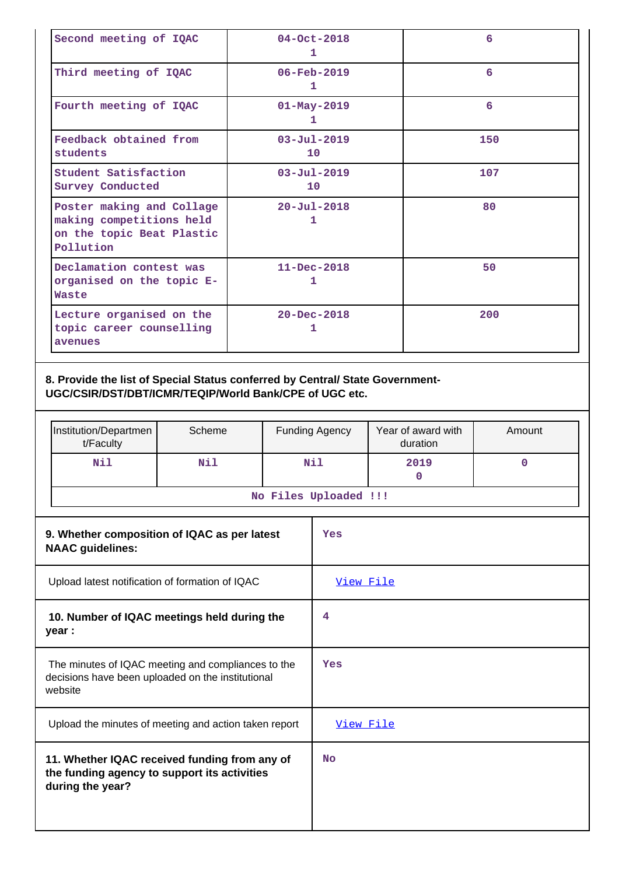| Second meeting of IQAC                                                                          | $04 - Oct - 2018$<br>1               | 6   |
|-------------------------------------------------------------------------------------------------|--------------------------------------|-----|
| Third meeting of IQAC                                                                           | $06 - \text{Feb} - 2019$<br>1        | 6   |
| Fourth meeting of IQAC                                                                          | $01 - May - 2019$<br>ı               | 6   |
| Feedback obtained from<br>students                                                              | $03 - Ju1 - 2019$<br>10 <sup>°</sup> | 150 |
| Student Satisfaction<br><b>Survey Conducted</b>                                                 | $03 - Ju1 - 2019$<br>10 <sup>1</sup> | 107 |
| Poster making and Collage<br>making competitions held<br>on the topic Beat Plastic<br>Pollution | $20 - Ju1 - 2018$<br>1               | 80  |
| Declamation contest was<br>organised on the topic E-<br>Waste                                   | $11 - Dec - 2018$<br>1               | 50  |
| Lecture organised on the<br>topic career counselling<br>avenues                                 | $20 - Dec - 2018$<br>1               | 200 |

### **8. Provide the list of Special Status conferred by Central/ State Government-UGC/CSIR/DST/DBT/ICMR/TEQIP/World Bank/CPE of UGC etc.**

| Institution/Departmen<br>t/Faculty | Scheme | <b>Funding Agency</b> | Year of award with<br>duration | Amount |  |  |
|------------------------------------|--------|-----------------------|--------------------------------|--------|--|--|
| Nil<br>Nil                         |        | Nil<br>2019           |                                |        |  |  |
| No Files Uploaded !!!              |        |                       |                                |        |  |  |

| 9. Whether composition of IQAC as per latest<br><b>NAAC</b> guidelines:                                            | Yes              |
|--------------------------------------------------------------------------------------------------------------------|------------------|
| Upload latest notification of formation of IQAC                                                                    | <u>View File</u> |
| 10. Number of IQAC meetings held during the<br>year :                                                              | 4                |
| The minutes of IQAC meeting and compliances to the<br>decisions have been uploaded on the institutional<br>website | Yes              |
| Upload the minutes of meeting and action taken report                                                              | View File        |
| 11. Whether IQAC received funding from any of<br>the funding agency to support its activities<br>during the year?  | <b>No</b>        |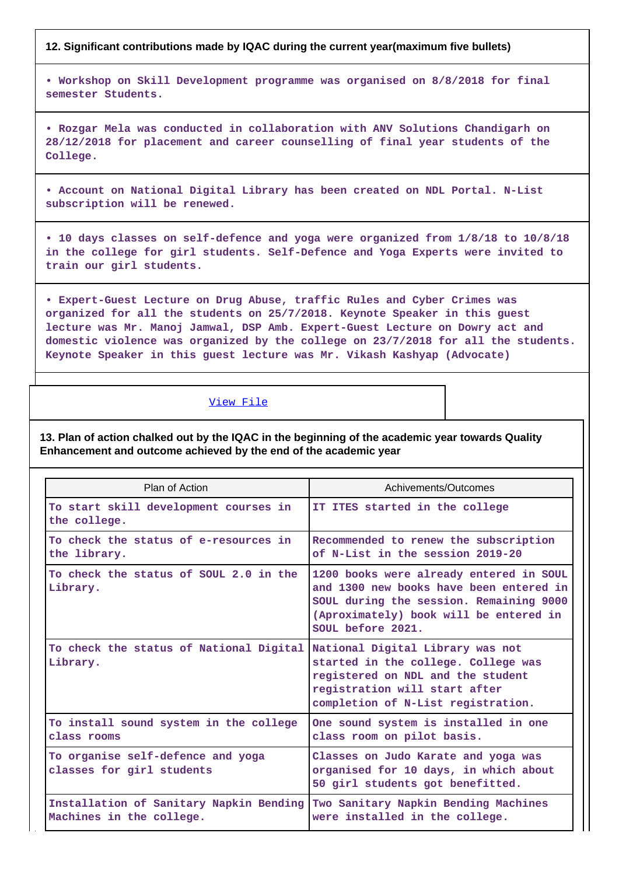#### **12. Significant contributions made by IQAC during the current year(maximum five bullets)**

**• Workshop on Skill Development programme was organised on 8/8/2018 for final semester Students.**

**• Rozgar Mela was conducted in collaboration with ANV Solutions Chandigarh on 28/12/2018 for placement and career counselling of final year students of the College.**

**• Account on National Digital Library has been created on NDL Portal. N-List subscription will be renewed.**

**• 10 days classes on self-defence and yoga were organized from 1/8/18 to 10/8/18 in the college for girl students. Self-Defence and Yoga Experts were invited to train our girl students.**

**• Expert-Guest Lecture on Drug Abuse, traffic Rules and Cyber Crimes was organized for all the students on 25/7/2018. Keynote Speaker in this guest lecture was Mr. Manoj Jamwal, DSP Amb. Expert-Guest Lecture on Dowry act and domestic violence was organized by the college on 23/7/2018 for all the students. Keynote Speaker in this guest lecture was Mr. Vikash Kashyap (Advocate)**

#### [View File](https://assessmentonline.naac.gov.in/public/Postacc/Contribution/1394_Contribution.xlsx)

**13. Plan of action chalked out by the IQAC in the beginning of the academic year towards Quality Enhancement and outcome achieved by the end of the academic year**

| Plan of Action                                                      | Achivements/Outcomes                                                                                                                                                                         |
|---------------------------------------------------------------------|----------------------------------------------------------------------------------------------------------------------------------------------------------------------------------------------|
| To start skill development courses in<br>the college.               | IT ITES started in the college                                                                                                                                                               |
| To check the status of e-resources in<br>the library.               | Recommended to renew the subscription<br>of N-List in the session 2019-20                                                                                                                    |
| To check the status of SOUL 2.0 in the<br>Library.                  | 1200 books were already entered in SOUL<br>and 1300 new books have been entered in<br>SOUL during the session. Remaining 9000<br>(Aproximately) book will be entered in<br>SOUL before 2021. |
| To check the status of National Digital<br>Library.                 | National Digital Library was not<br>started in the college. College was<br>registered on NDL and the student<br>registration will start after<br>completion of N-List registration.          |
| To install sound system in the college<br>class rooms               | One sound system is installed in one<br>class room on pilot basis.                                                                                                                           |
| To organise self-defence and yoga<br>classes for girl students      | Classes on Judo Karate and yoga was<br>organised for 10 days, in which about<br>50 girl students got benefitted.                                                                             |
| Installation of Sanitary Napkin Bending<br>Machines in the college. | Two Sanitary Napkin Bending Machines<br>were installed in the college.                                                                                                                       |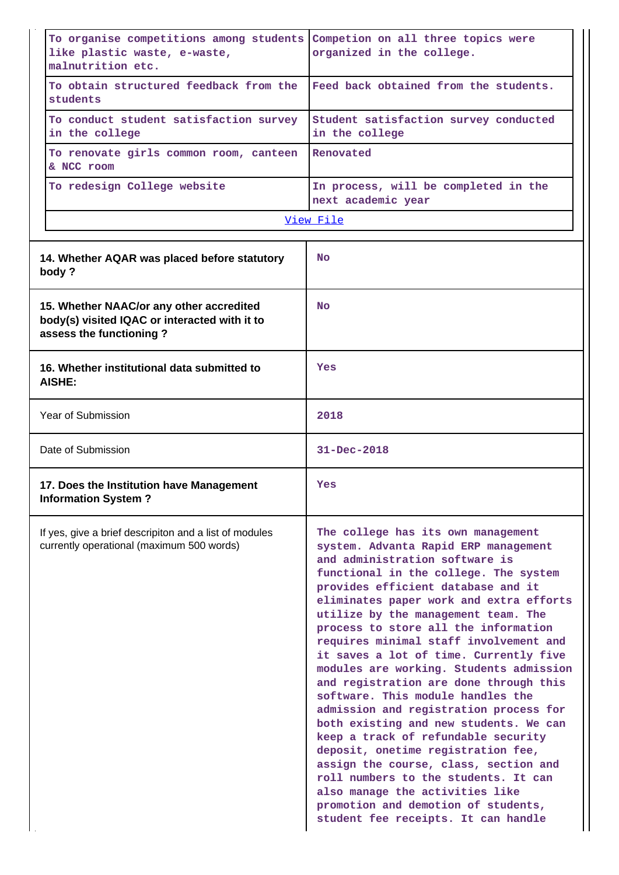| To organise competitions among students<br>like plastic waste, e-waste,<br>malnutrition etc.                         | Competion on all three topics were<br>organized in the college.                                                                                                                                                                                                                                                                                                                                                                                                                                                                                                                                                                                                                                                                                                                                                                                                                                        |  |  |  |  |
|----------------------------------------------------------------------------------------------------------------------|--------------------------------------------------------------------------------------------------------------------------------------------------------------------------------------------------------------------------------------------------------------------------------------------------------------------------------------------------------------------------------------------------------------------------------------------------------------------------------------------------------------------------------------------------------------------------------------------------------------------------------------------------------------------------------------------------------------------------------------------------------------------------------------------------------------------------------------------------------------------------------------------------------|--|--|--|--|
| To obtain structured feedback from the<br>students                                                                   | Feed back obtained from the students.                                                                                                                                                                                                                                                                                                                                                                                                                                                                                                                                                                                                                                                                                                                                                                                                                                                                  |  |  |  |  |
| To conduct student satisfaction survey<br>in the college                                                             | Student satisfaction survey conducted<br>in the college                                                                                                                                                                                                                                                                                                                                                                                                                                                                                                                                                                                                                                                                                                                                                                                                                                                |  |  |  |  |
| To renovate girls common room, canteen<br>& NCC room                                                                 | Renovated                                                                                                                                                                                                                                                                                                                                                                                                                                                                                                                                                                                                                                                                                                                                                                                                                                                                                              |  |  |  |  |
| To redesign College website                                                                                          | In process, will be completed in the<br>next academic year                                                                                                                                                                                                                                                                                                                                                                                                                                                                                                                                                                                                                                                                                                                                                                                                                                             |  |  |  |  |
|                                                                                                                      | View File                                                                                                                                                                                                                                                                                                                                                                                                                                                                                                                                                                                                                                                                                                                                                                                                                                                                                              |  |  |  |  |
| 14. Whether AQAR was placed before statutory<br>body?                                                                | <b>No</b>                                                                                                                                                                                                                                                                                                                                                                                                                                                                                                                                                                                                                                                                                                                                                                                                                                                                                              |  |  |  |  |
| 15. Whether NAAC/or any other accredited<br>body(s) visited IQAC or interacted with it to<br>assess the functioning? | <b>No</b>                                                                                                                                                                                                                                                                                                                                                                                                                                                                                                                                                                                                                                                                                                                                                                                                                                                                                              |  |  |  |  |
| 16. Whether institutional data submitted to<br><b>AISHE:</b>                                                         | Yes                                                                                                                                                                                                                                                                                                                                                                                                                                                                                                                                                                                                                                                                                                                                                                                                                                                                                                    |  |  |  |  |
| Year of Submission                                                                                                   | 2018                                                                                                                                                                                                                                                                                                                                                                                                                                                                                                                                                                                                                                                                                                                                                                                                                                                                                                   |  |  |  |  |
| Date of Submission                                                                                                   | $31 - Dec - 2018$                                                                                                                                                                                                                                                                                                                                                                                                                                                                                                                                                                                                                                                                                                                                                                                                                                                                                      |  |  |  |  |
| 17. Does the Institution have Management<br><b>Information System?</b>                                               | Yes                                                                                                                                                                                                                                                                                                                                                                                                                                                                                                                                                                                                                                                                                                                                                                                                                                                                                                    |  |  |  |  |
| If yes, give a brief descripiton and a list of modules<br>currently operational (maximum 500 words)                  | The college has its own management<br>system. Advanta Rapid ERP management<br>and administration software is<br>functional in the college. The system<br>provides efficient database and it<br>eliminates paper work and extra efforts<br>utilize by the management team. The<br>process to store all the information<br>requires minimal staff involvement and<br>it saves a lot of time. Currently five<br>modules are working. Students admission<br>and registration are done through this<br>software. This module handles the<br>admission and registration process for<br>both existing and new students. We can<br>keep a track of refundable security<br>deposit, onetime registration fee,<br>assign the course, class, section and<br>roll numbers to the students. It can<br>also manage the activities like<br>promotion and demotion of students,<br>student fee receipts. It can handle |  |  |  |  |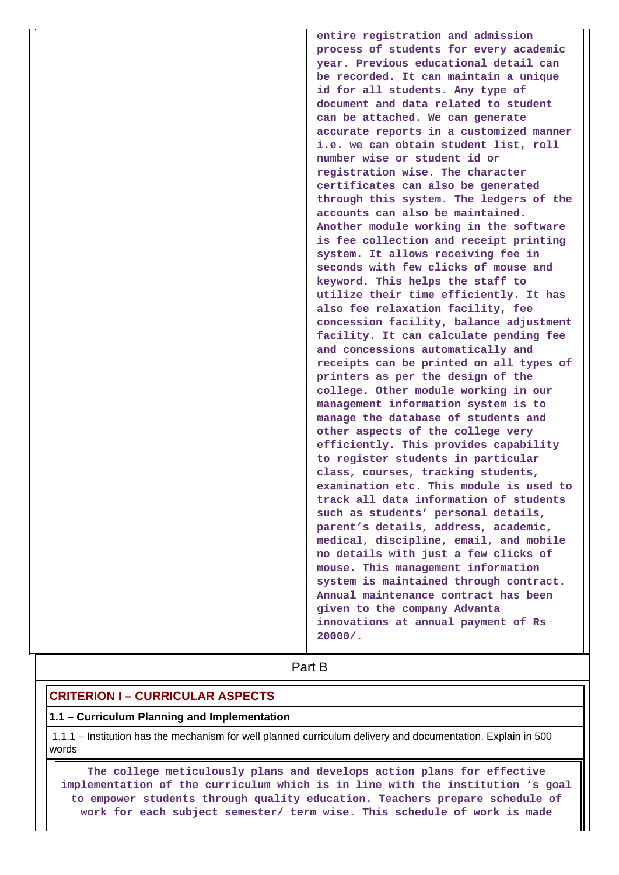**entire registration and admission process of students for every academic year. Previous educational detail can be recorded. It can maintain a unique id for all students. Any type of document and data related to student can be attached. We can generate accurate reports in a customized manner i.e. we can obtain student list, roll number wise or student id or registration wise. The character certificates can also be generated through this system. The ledgers of the accounts can also be maintained. Another module working in the software is fee collection and receipt printing system. It allows receiving fee in seconds with few clicks of mouse and keyword. This helps the staff to utilize their time efficiently. It has also fee relaxation facility, fee concession facility, balance adjustment facility. It can calculate pending fee and concessions automatically and receipts can be printed on all types of printers as per the design of the college. Other module working in our management information system is to manage the database of students and other aspects of the college very efficiently. This provides capability to register students in particular class, courses, tracking students, examination etc. This module is used to track all data information of students such as students' personal details, parent's details, address, academic, medical, discipline, email, and mobile no details with just a few clicks of mouse. This management information system is maintained through contract. Annual maintenance contract has been given to the company Advanta innovations at annual payment of Rs 20000/.**

**Part B** 

### **CRITERION I – CURRICULAR ASPECTS**

#### **1.1 – Curriculum Planning and Implementation**

 1.1.1 – Institution has the mechanism for well planned curriculum delivery and documentation. Explain in 500 words

 **The college meticulously plans and develops action plans for effective implementation of the curriculum which is in line with the institution 's goal to empower students through quality education. Teachers prepare schedule of work for each subject semester/ term wise. This schedule of work is made**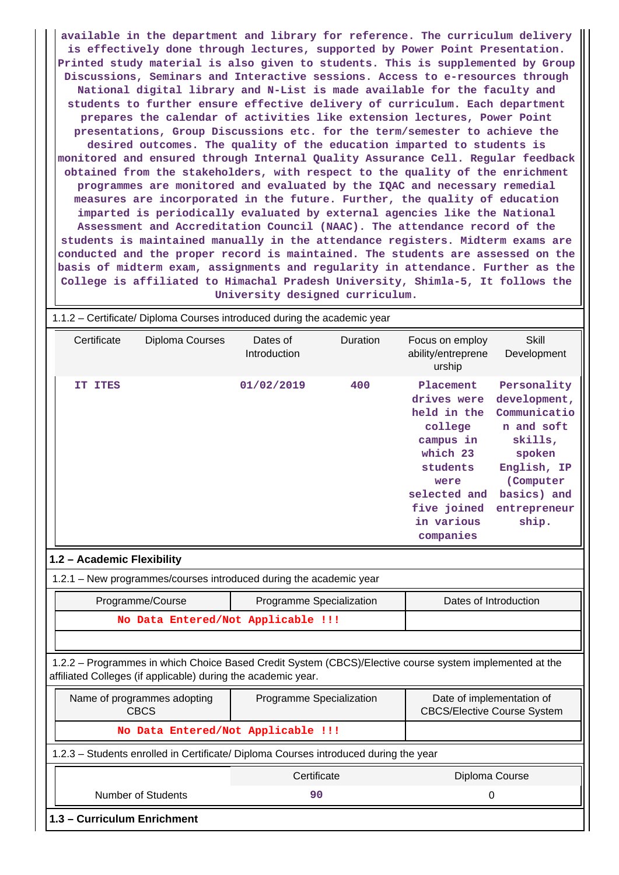**available in the department and library for reference. The curriculum delivery is effectively done through lectures, supported by Power Point Presentation. Printed study material is also given to students. This is supplemented by Group Discussions, Seminars and Interactive sessions. Access to e-resources through National digital library and N-List is made available for the faculty and students to further ensure effective delivery of curriculum. Each department prepares the calendar of activities like extension lectures, Power Point presentations, Group Discussions etc. for the term/semester to achieve the desired outcomes. The quality of the education imparted to students is monitored and ensured through Internal Quality Assurance Cell. Regular feedback obtained from the stakeholders, with respect to the quality of the enrichment programmes are monitored and evaluated by the IQAC and necessary remedial measures are incorporated in the future. Further, the quality of education imparted is periodically evaluated by external agencies like the National Assessment and Accreditation Council (NAAC). The attendance record of the students is maintained manually in the attendance registers. Midterm exams are conducted and the proper record is maintained. The students are assessed on the basis of midterm exam, assignments and regularity in attendance. Further as the College is affiliated to Himachal Pradesh University, Shimla-5, It follows the University designed curriculum.**

| 1.1.2 - Certificate/ Diploma Courses introduced during the academic year                                                                                                 |                          |          |                                                                                                                                                           |                                                                                                                                                    |  |  |  |  |
|--------------------------------------------------------------------------------------------------------------------------------------------------------------------------|--------------------------|----------|-----------------------------------------------------------------------------------------------------------------------------------------------------------|----------------------------------------------------------------------------------------------------------------------------------------------------|--|--|--|--|
| Certificate<br>Diploma Courses                                                                                                                                           | Dates of<br>Introduction | Duration | Focus on employ<br>ability/entreprene<br>urship                                                                                                           | Skill<br>Development                                                                                                                               |  |  |  |  |
| IT ITES                                                                                                                                                                  | 01/02/2019               | 400      | Placement<br>drives were<br>held in the<br>college<br>campus in<br>which 23<br>students<br>were<br>selected and<br>five joined<br>in various<br>companies | Personality<br>development,<br>Communicatio<br>n and soft<br>skills,<br>spoken<br>English, IP<br>(Computer<br>basics) and<br>entrepreneur<br>ship. |  |  |  |  |
| 1.2 - Academic Flexibility                                                                                                                                               |                          |          |                                                                                                                                                           |                                                                                                                                                    |  |  |  |  |
| 1.2.1 - New programmes/courses introduced during the academic year                                                                                                       |                          |          |                                                                                                                                                           |                                                                                                                                                    |  |  |  |  |
| Programme/Course                                                                                                                                                         | Programme Specialization |          | Dates of Introduction                                                                                                                                     |                                                                                                                                                    |  |  |  |  |
| No Data Entered/Not Applicable !!!                                                                                                                                       |                          |          |                                                                                                                                                           |                                                                                                                                                    |  |  |  |  |
|                                                                                                                                                                          |                          |          |                                                                                                                                                           |                                                                                                                                                    |  |  |  |  |
| 1.2.2 - Programmes in which Choice Based Credit System (CBCS)/Elective course system implemented at the<br>affiliated Colleges (if applicable) during the academic year. |                          |          |                                                                                                                                                           |                                                                                                                                                    |  |  |  |  |
| Name of programmes adopting<br><b>CBCS</b>                                                                                                                               | Programme Specialization |          | <b>CBCS/Elective Course System</b>                                                                                                                        | Date of implementation of                                                                                                                          |  |  |  |  |
| No Data Entered/Not Applicable !!!                                                                                                                                       |                          |          |                                                                                                                                                           |                                                                                                                                                    |  |  |  |  |
| 1.2.3 - Students enrolled in Certificate/ Diploma Courses introduced during the year                                                                                     |                          |          |                                                                                                                                                           |                                                                                                                                                    |  |  |  |  |
|                                                                                                                                                                          | Certificate              |          | Diploma Course                                                                                                                                            |                                                                                                                                                    |  |  |  |  |
| <b>Number of Students</b>                                                                                                                                                | 90                       |          | 0                                                                                                                                                         |                                                                                                                                                    |  |  |  |  |
| 1.3 - Curriculum Enrichment                                                                                                                                              |                          |          |                                                                                                                                                           |                                                                                                                                                    |  |  |  |  |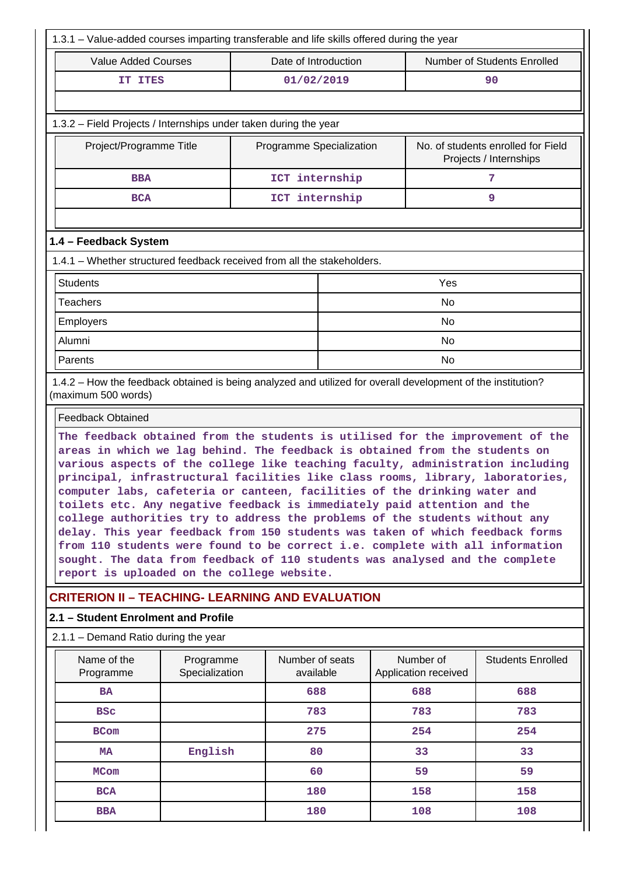| <b>Value Added Courses</b>                                                                                                                                                                                                                                                                                                                                                                                                                                                                                                                                                                                                                                                                                                                                                                                                                                                |                             |                                                                                          |                                    |                                   |                          |  |  |  |
|---------------------------------------------------------------------------------------------------------------------------------------------------------------------------------------------------------------------------------------------------------------------------------------------------------------------------------------------------------------------------------------------------------------------------------------------------------------------------------------------------------------------------------------------------------------------------------------------------------------------------------------------------------------------------------------------------------------------------------------------------------------------------------------------------------------------------------------------------------------------------|-----------------------------|------------------------------------------------------------------------------------------|------------------------------------|-----------------------------------|--------------------------|--|--|--|
|                                                                                                                                                                                                                                                                                                                                                                                                                                                                                                                                                                                                                                                                                                                                                                                                                                                                           |                             | Date of Introduction                                                                     | <b>Number of Students Enrolled</b> |                                   |                          |  |  |  |
| IT ITES                                                                                                                                                                                                                                                                                                                                                                                                                                                                                                                                                                                                                                                                                                                                                                                                                                                                   |                             | 01/02/2019                                                                               |                                    |                                   | 90                       |  |  |  |
|                                                                                                                                                                                                                                                                                                                                                                                                                                                                                                                                                                                                                                                                                                                                                                                                                                                                           |                             |                                                                                          |                                    |                                   |                          |  |  |  |
| 1.3.2 - Field Projects / Internships under taken during the year                                                                                                                                                                                                                                                                                                                                                                                                                                                                                                                                                                                                                                                                                                                                                                                                          |                             |                                                                                          |                                    |                                   |                          |  |  |  |
| Project/Programme Title                                                                                                                                                                                                                                                                                                                                                                                                                                                                                                                                                                                                                                                                                                                                                                                                                                                   |                             | No. of students enrolled for Field<br>Programme Specialization<br>Projects / Internships |                                    |                                   |                          |  |  |  |
| <b>BBA</b>                                                                                                                                                                                                                                                                                                                                                                                                                                                                                                                                                                                                                                                                                                                                                                                                                                                                |                             | ICT internship                                                                           |                                    |                                   | 7                        |  |  |  |
| <b>BCA</b>                                                                                                                                                                                                                                                                                                                                                                                                                                                                                                                                                                                                                                                                                                                                                                                                                                                                |                             | ICT internship                                                                           |                                    | 9                                 |                          |  |  |  |
|                                                                                                                                                                                                                                                                                                                                                                                                                                                                                                                                                                                                                                                                                                                                                                                                                                                                           |                             |                                                                                          |                                    |                                   |                          |  |  |  |
| 1.4 - Feedback System                                                                                                                                                                                                                                                                                                                                                                                                                                                                                                                                                                                                                                                                                                                                                                                                                                                     |                             |                                                                                          |                                    |                                   |                          |  |  |  |
| 1.4.1 - Whether structured feedback received from all the stakeholders.                                                                                                                                                                                                                                                                                                                                                                                                                                                                                                                                                                                                                                                                                                                                                                                                   |                             |                                                                                          |                                    |                                   |                          |  |  |  |
| <b>Students</b>                                                                                                                                                                                                                                                                                                                                                                                                                                                                                                                                                                                                                                                                                                                                                                                                                                                           |                             |                                                                                          |                                    | Yes                               |                          |  |  |  |
| <b>Teachers</b>                                                                                                                                                                                                                                                                                                                                                                                                                                                                                                                                                                                                                                                                                                                                                                                                                                                           |                             |                                                                                          |                                    | No                                |                          |  |  |  |
| Employers                                                                                                                                                                                                                                                                                                                                                                                                                                                                                                                                                                                                                                                                                                                                                                                                                                                                 |                             |                                                                                          |                                    | <b>No</b>                         |                          |  |  |  |
| Alumni                                                                                                                                                                                                                                                                                                                                                                                                                                                                                                                                                                                                                                                                                                                                                                                                                                                                    |                             |                                                                                          |                                    | <b>No</b>                         |                          |  |  |  |
| Parents                                                                                                                                                                                                                                                                                                                                                                                                                                                                                                                                                                                                                                                                                                                                                                                                                                                                   |                             |                                                                                          |                                    | No                                |                          |  |  |  |
| 1.4.2 - How the feedback obtained is being analyzed and utilized for overall development of the institution?<br>(maximum 500 words)                                                                                                                                                                                                                                                                                                                                                                                                                                                                                                                                                                                                                                                                                                                                       |                             |                                                                                          |                                    |                                   |                          |  |  |  |
| <b>Feedback Obtained</b>                                                                                                                                                                                                                                                                                                                                                                                                                                                                                                                                                                                                                                                                                                                                                                                                                                                  |                             |                                                                                          |                                    |                                   |                          |  |  |  |
| The feedback obtained from the students is utilised for the improvement of the<br>areas in which we lag behind. The feedback is obtained from the students on<br>various aspects of the college like teaching faculty, administration including<br>principal, infrastructural facilities like class rooms, library, laboratories,<br>computer labs, cafeteria or canteen, facilities of the drinking water and<br>toilets etc. Any negative feedback is immediately paid attention and the<br>college authorities try to address the problems of the students without any<br>delay. This year feedback from 150 students was taken of which feedback forms<br>from 110 students were found to be correct i.e. complete with all information<br>sought. The data from feedback of 110 students was analysed and the complete<br>report is uploaded on the college website. |                             |                                                                                          |                                    |                                   |                          |  |  |  |
|                                                                                                                                                                                                                                                                                                                                                                                                                                                                                                                                                                                                                                                                                                                                                                                                                                                                           |                             |                                                                                          |                                    |                                   |                          |  |  |  |
| <b>CRITERION II - TEACHING- LEARNING AND EVALUATION</b>                                                                                                                                                                                                                                                                                                                                                                                                                                                                                                                                                                                                                                                                                                                                                                                                                   |                             |                                                                                          |                                    |                                   |                          |  |  |  |
| 2.1 - Student Enrolment and Profile                                                                                                                                                                                                                                                                                                                                                                                                                                                                                                                                                                                                                                                                                                                                                                                                                                       |                             |                                                                                          |                                    |                                   |                          |  |  |  |
| 2.1.1 - Demand Ratio during the year                                                                                                                                                                                                                                                                                                                                                                                                                                                                                                                                                                                                                                                                                                                                                                                                                                      |                             |                                                                                          |                                    |                                   |                          |  |  |  |
| Name of the<br>Programme                                                                                                                                                                                                                                                                                                                                                                                                                                                                                                                                                                                                                                                                                                                                                                                                                                                  | Programme<br>Specialization | Number of seats<br>available                                                             |                                    | Number of<br>Application received | <b>Students Enrolled</b> |  |  |  |
| <b>BA</b>                                                                                                                                                                                                                                                                                                                                                                                                                                                                                                                                                                                                                                                                                                                                                                                                                                                                 |                             | 688                                                                                      |                                    | 688                               | 688                      |  |  |  |
| <b>BSC</b>                                                                                                                                                                                                                                                                                                                                                                                                                                                                                                                                                                                                                                                                                                                                                                                                                                                                |                             | 783                                                                                      |                                    | 783                               | 783                      |  |  |  |
| <b>BCom</b>                                                                                                                                                                                                                                                                                                                                                                                                                                                                                                                                                                                                                                                                                                                                                                                                                                                               |                             | 275                                                                                      |                                    | 254                               | 254                      |  |  |  |
| <b>MA</b>                                                                                                                                                                                                                                                                                                                                                                                                                                                                                                                                                                                                                                                                                                                                                                                                                                                                 | English                     | 80                                                                                       |                                    | 33                                | 33                       |  |  |  |
| <b>MCom</b>                                                                                                                                                                                                                                                                                                                                                                                                                                                                                                                                                                                                                                                                                                                                                                                                                                                               |                             | 60                                                                                       |                                    | 59                                | 59                       |  |  |  |
| <b>BCA</b>                                                                                                                                                                                                                                                                                                                                                                                                                                                                                                                                                                                                                                                                                                                                                                                                                                                                |                             | 180                                                                                      |                                    | 158                               | 158                      |  |  |  |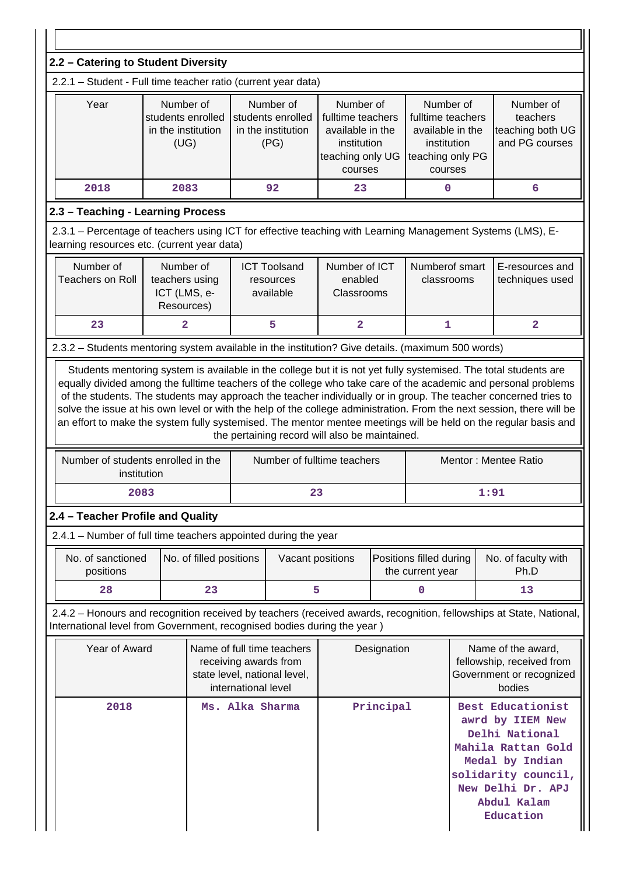| 2.2 - Catering to Student Diversity                                                                                                                                                                                          |                         |                                                              |  |                                                                                                                                                                  |                                                |                                                                                                                                                                          |                                                                                       |  |                                                                                                                                                                                                                                                                                                                                                             |
|------------------------------------------------------------------------------------------------------------------------------------------------------------------------------------------------------------------------------|-------------------------|--------------------------------------------------------------|--|------------------------------------------------------------------------------------------------------------------------------------------------------------------|------------------------------------------------|--------------------------------------------------------------------------------------------------------------------------------------------------------------------------|---------------------------------------------------------------------------------------|--|-------------------------------------------------------------------------------------------------------------------------------------------------------------------------------------------------------------------------------------------------------------------------------------------------------------------------------------------------------------|
| 2.2.1 - Student - Full time teacher ratio (current year data)                                                                                                                                                                |                         |                                                              |  |                                                                                                                                                                  |                                                |                                                                                                                                                                          |                                                                                       |  |                                                                                                                                                                                                                                                                                                                                                             |
| Year                                                                                                                                                                                                                         |                         | Number of<br>students enrolled<br>in the institution<br>(UG) |  | Number of<br>Number of<br>students enrolled<br>fulltime teachers<br>in the institution<br>available in the<br>(PG)<br>institution<br>teaching only UG<br>courses |                                                | Number of<br>fulltime teachers<br>available in the<br>institution<br>teaching only PG<br>courses                                                                         |                                                                                       |  | Number of<br>teachers<br>teaching both UG<br>and PG courses                                                                                                                                                                                                                                                                                                 |
| 2018                                                                                                                                                                                                                         |                         | 2083                                                         |  | 92                                                                                                                                                               | 23<br>$\mathbf 0$                              |                                                                                                                                                                          |                                                                                       |  | 6                                                                                                                                                                                                                                                                                                                                                           |
| 2.3 - Teaching - Learning Process                                                                                                                                                                                            |                         |                                                              |  |                                                                                                                                                                  |                                                |                                                                                                                                                                          |                                                                                       |  |                                                                                                                                                                                                                                                                                                                                                             |
| 2.3.1 – Percentage of teachers using ICT for effective teaching with Learning Management Systems (LMS), E-<br>learning resources etc. (current year data)                                                                    |                         |                                                              |  |                                                                                                                                                                  |                                                |                                                                                                                                                                          |                                                                                       |  |                                                                                                                                                                                                                                                                                                                                                             |
| Number of<br>Number of<br>Number of ICT<br>Numberof smart<br><b>ICT Toolsand</b><br><b>Teachers on Roll</b><br>teachers using<br>enabled<br>classrooms<br>resources<br>ICT (LMS, e-<br>Classrooms<br>available<br>Resources) |                         |                                                              |  |                                                                                                                                                                  | E-resources and<br>techniques used             |                                                                                                                                                                          |                                                                                       |  |                                                                                                                                                                                                                                                                                                                                                             |
| 23                                                                                                                                                                                                                           |                         | $\overline{\mathbf{2}}$                                      |  | 5                                                                                                                                                                | $\overline{2}$                                 |                                                                                                                                                                          | $\mathbf 1$                                                                           |  | $\overline{a}$                                                                                                                                                                                                                                                                                                                                              |
| 2.3.2 - Students mentoring system available in the institution? Give details. (maximum 500 words)                                                                                                                            |                         |                                                              |  |                                                                                                                                                                  |                                                |                                                                                                                                                                          |                                                                                       |  |                                                                                                                                                                                                                                                                                                                                                             |
|                                                                                                                                                                                                                              |                         |                                                              |  |                                                                                                                                                                  | the pertaining record will also be maintained. |                                                                                                                                                                          |                                                                                       |  | of the students. The students may approach the teacher individually or in group. The teacher concerned tries to<br>solve the issue at his own level or with the help of the college administration. From the next session, there will be<br>an effort to make the system fully systemised. The mentor mentee meetings will be held on the regular basis and |
| Number of students enrolled in the                                                                                                                                                                                           | institution             |                                                              |  |                                                                                                                                                                  | Number of fulltime teachers                    |                                                                                                                                                                          |                                                                                       |  | Mentor: Mentee Ratio                                                                                                                                                                                                                                                                                                                                        |
|                                                                                                                                                                                                                              | 2083                    |                                                              |  | 23                                                                                                                                                               |                                                |                                                                                                                                                                          |                                                                                       |  | 1:91                                                                                                                                                                                                                                                                                                                                                        |
| 2.4 - Teacher Profile and Quality                                                                                                                                                                                            |                         |                                                              |  |                                                                                                                                                                  |                                                |                                                                                                                                                                          |                                                                                       |  |                                                                                                                                                                                                                                                                                                                                                             |
| 2.4.1 - Number of full time teachers appointed during the year                                                                                                                                                               |                         |                                                              |  |                                                                                                                                                                  |                                                |                                                                                                                                                                          |                                                                                       |  |                                                                                                                                                                                                                                                                                                                                                             |
| No. of sanctioned<br>positions                                                                                                                                                                                               |                         | No. of filled positions                                      |  | Vacant positions<br>Positions filled during<br>the current year                                                                                                  |                                                |                                                                                                                                                                          | No. of faculty with<br>Ph.D                                                           |  |                                                                                                                                                                                                                                                                                                                                                             |
| 28                                                                                                                                                                                                                           |                         | 23                                                           |  | 5                                                                                                                                                                |                                                |                                                                                                                                                                          | $\mathbf 0$                                                                           |  | 13                                                                                                                                                                                                                                                                                                                                                          |
| International level from Government, recognised bodies during the year)                                                                                                                                                      |                         |                                                              |  |                                                                                                                                                                  |                                                |                                                                                                                                                                          |                                                                                       |  | 2.4.2 - Honours and recognition received by teachers (received awards, recognition, fellowships at State, National,                                                                                                                                                                                                                                         |
| Year of Award<br>Name of full time teachers<br>receiving awards from<br>state level, national level,<br>international level                                                                                                  |                         |                                                              |  | Designation                                                                                                                                                      |                                                |                                                                                                                                                                          | Name of the award,<br>fellowship, received from<br>Government or recognized<br>bodies |  |                                                                                                                                                                                                                                                                                                                                                             |
|                                                                                                                                                                                                                              | 2018<br>Ms. Alka Sharma |                                                              |  | Principal                                                                                                                                                        |                                                | Best Educationist<br>awrd by IIEM New<br>Delhi National<br>Mahila Rattan Gold<br>Medal by Indian<br>solidarity council,<br>New Delhi Dr. APJ<br>Abdul Kalam<br>Education |                                                                                       |  |                                                                                                                                                                                                                                                                                                                                                             |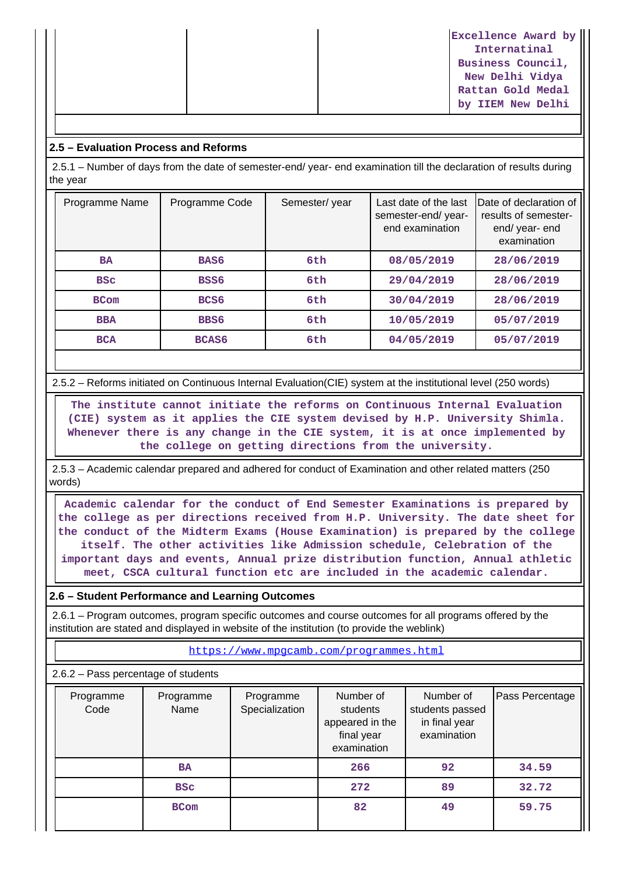| Excellence Award by |
|---------------------|
| Internatinal        |
| Business Council,   |
| New Delhi Vidya     |
| Rattan Gold Medal   |
| by IIEM New Delhi   |

#### **2.5 – Evaluation Process and Reforms**

 2.5.1 – Number of days from the date of semester-end/ year- end examination till the declaration of results during the year

| Programme Name | Programme Code   | Semester/year | Last date of the last<br>semester-end/year-<br>end examination | Date of declaration of<br>results of semester-<br>end/year-end<br>examination |
|----------------|------------------|---------------|----------------------------------------------------------------|-------------------------------------------------------------------------------|
| <b>BA</b>      | BAS6             | 6th           | 08/05/2019                                                     | 28/06/2019                                                                    |
| <b>BSC</b>     | BSS6             | 6th           | 29/04/2019                                                     | 28/06/2019                                                                    |
| <b>BCom</b>    | BCS <sub>6</sub> | 6th           | 30/04/2019                                                     | 28/06/2019                                                                    |
| <b>BBA</b>     | BBS6             | 6th           | 10/05/2019                                                     | 05/07/2019                                                                    |
| <b>BCA</b>     | <b>BCAS6</b>     | 6th           | 04/05/2019                                                     | 05/07/2019                                                                    |

2.5.2 – Reforms initiated on Continuous Internal Evaluation(CIE) system at the institutional level (250 words)

 **The institute cannot initiate the reforms on Continuous Internal Evaluation (CIE) system as it applies the CIE system devised by H.P. University Shimla. Whenever there is any change in the CIE system, it is at once implemented by the college on getting directions from the university.**

 2.5.3 – Academic calendar prepared and adhered for conduct of Examination and other related matters (250 words)

 **Academic calendar for the conduct of End Semester Examinations is prepared by the college as per directions received from H.P. University. The date sheet for the conduct of the Midterm Exams (House Examination) is prepared by the college itself. The other activities like Admission schedule, Celebration of the important days and events, Annual prize distribution function, Annual athletic meet, CSCA cultural function etc are included in the academic calendar.**

#### **2.6 – Student Performance and Learning Outcomes**

 2.6.1 – Program outcomes, program specific outcomes and course outcomes for all programs offered by the institution are stated and displayed in website of the institution (to provide the weblink)

<https://www.mpgcamb.com/programmes.html>

2.6.2 – Pass percentage of students

| Programme<br>Code | Programme<br>Name | Programme<br>Specialization | Number of<br>students<br>appeared in the<br>final year<br>examination | Number of<br>students passed<br>in final year<br>examination | Pass Percentage |
|-------------------|-------------------|-----------------------------|-----------------------------------------------------------------------|--------------------------------------------------------------|-----------------|
|                   | <b>BA</b>         |                             | 266                                                                   | 92                                                           | 34.59           |
|                   | <b>BSC</b>        |                             | 272                                                                   | 89                                                           | 32.72           |
|                   | <b>BCom</b>       |                             | 82                                                                    | 49                                                           | 59.75           |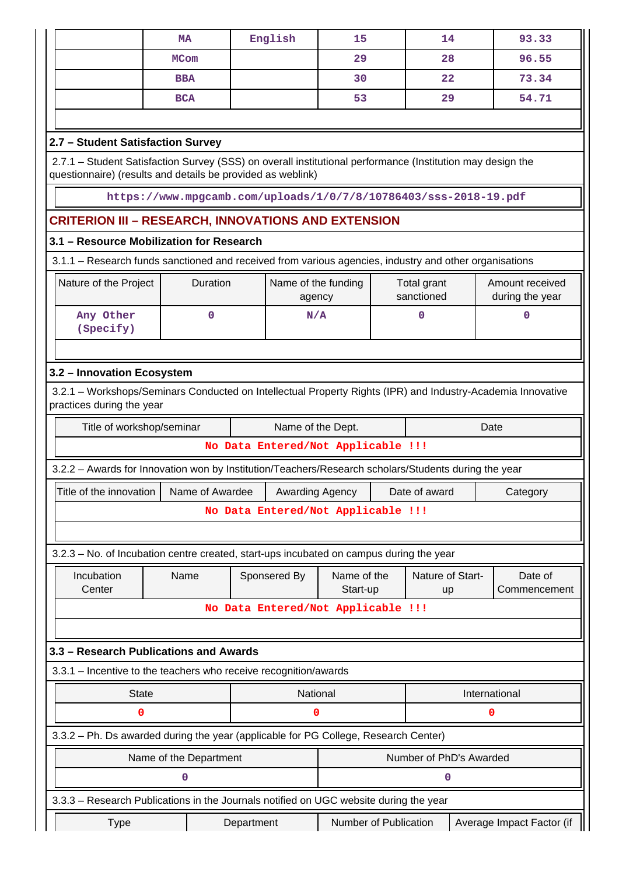| English<br><b>MA</b><br><b>MCom</b><br><b>BBA</b><br><b>BCA</b><br>2.7 - Student Satisfaction Survey<br>2.7.1 - Student Satisfaction Survey (SSS) on overall institutional performance (Institution may design the<br>questionnaire) (results and details be provided as weblink)<br>https://www.mpgcamb.com/uploads/1/0/7/8/10786403/sss-2018-19.pdf<br><b>CRITERION III - RESEARCH, INNOVATIONS AND EXTENSION</b><br>3.1 - Resource Mobilization for Research<br>3.1.1 - Research funds sanctioned and received from various agencies, industry and other organisations<br>Duration<br>Nature of the Project | 15<br>29<br>30<br>53          | 14<br>28<br>22<br>29      | 93.33<br>96.55<br>73.34<br>54.71   |  |  |  |  |
|----------------------------------------------------------------------------------------------------------------------------------------------------------------------------------------------------------------------------------------------------------------------------------------------------------------------------------------------------------------------------------------------------------------------------------------------------------------------------------------------------------------------------------------------------------------------------------------------------------------|-------------------------------|---------------------------|------------------------------------|--|--|--|--|
|                                                                                                                                                                                                                                                                                                                                                                                                                                                                                                                                                                                                                |                               |                           |                                    |  |  |  |  |
|                                                                                                                                                                                                                                                                                                                                                                                                                                                                                                                                                                                                                |                               |                           |                                    |  |  |  |  |
|                                                                                                                                                                                                                                                                                                                                                                                                                                                                                                                                                                                                                |                               |                           |                                    |  |  |  |  |
|                                                                                                                                                                                                                                                                                                                                                                                                                                                                                                                                                                                                                |                               |                           |                                    |  |  |  |  |
|                                                                                                                                                                                                                                                                                                                                                                                                                                                                                                                                                                                                                |                               |                           |                                    |  |  |  |  |
|                                                                                                                                                                                                                                                                                                                                                                                                                                                                                                                                                                                                                |                               |                           |                                    |  |  |  |  |
|                                                                                                                                                                                                                                                                                                                                                                                                                                                                                                                                                                                                                |                               |                           |                                    |  |  |  |  |
|                                                                                                                                                                                                                                                                                                                                                                                                                                                                                                                                                                                                                |                               |                           |                                    |  |  |  |  |
|                                                                                                                                                                                                                                                                                                                                                                                                                                                                                                                                                                                                                |                               |                           |                                    |  |  |  |  |
|                                                                                                                                                                                                                                                                                                                                                                                                                                                                                                                                                                                                                |                               |                           |                                    |  |  |  |  |
|                                                                                                                                                                                                                                                                                                                                                                                                                                                                                                                                                                                                                |                               |                           |                                    |  |  |  |  |
|                                                                                                                                                                                                                                                                                                                                                                                                                                                                                                                                                                                                                | Name of the funding<br>agency | Total grant<br>sanctioned | Amount received<br>during the year |  |  |  |  |
| Any Other<br>$\Omega$<br>N/A<br>$\mathbf 0$<br>0<br>(Specify)                                                                                                                                                                                                                                                                                                                                                                                                                                                                                                                                                  |                               |                           |                                    |  |  |  |  |
|                                                                                                                                                                                                                                                                                                                                                                                                                                                                                                                                                                                                                |                               |                           |                                    |  |  |  |  |
| 3.2 - Innovation Ecosystem                                                                                                                                                                                                                                                                                                                                                                                                                                                                                                                                                                                     |                               |                           |                                    |  |  |  |  |

| Title of workshop/seminar                                                                                                           | Name of the Dept.                                                                                    |            |                 |                                    | Date |               |               |                           |
|-------------------------------------------------------------------------------------------------------------------------------------|------------------------------------------------------------------------------------------------------|------------|-----------------|------------------------------------|------|---------------|---------------|---------------------------|
|                                                                                                                                     |                                                                                                      |            |                 | No Data Entered/Not Applicable !!! |      |               |               |                           |
|                                                                                                                                     | 3.2.2 - Awards for Innovation won by Institution/Teachers/Research scholars/Students during the year |            |                 |                                    |      |               |               |                           |
| Title of the innovation                                                                                                             | Name of Awardee                                                                                      |            | Awarding Agency |                                    |      | Date of award |               | Category                  |
|                                                                                                                                     |                                                                                                      |            |                 | No Data Entered/Not Applicable !!! |      |               |               |                           |
|                                                                                                                                     |                                                                                                      |            |                 |                                    |      |               |               |                           |
| 3.2.3 - No. of Incubation centre created, start-ups incubated on campus during the year                                             |                                                                                                      |            |                 |                                    |      |               |               |                           |
| Nature of Start-<br>Incubation<br>Sponsered By<br>Name of the<br>Name<br>Date of<br>Center<br>Start-up<br>Commencement<br><b>up</b> |                                                                                                      |            |                 |                                    |      |               |               |                           |
| No Data Entered/Not Applicable !!!                                                                                                  |                                                                                                      |            |                 |                                    |      |               |               |                           |
|                                                                                                                                     |                                                                                                      |            |                 |                                    |      |               |               |                           |
| 3.3 - Research Publications and Awards                                                                                              |                                                                                                      |            |                 |                                    |      |               |               |                           |
| 3.3.1 – Incentive to the teachers who receive recognition/awards                                                                    |                                                                                                      |            |                 |                                    |      |               |               |                           |
| <b>State</b>                                                                                                                        |                                                                                                      |            |                 | National                           |      |               | International |                           |
| 0                                                                                                                                   |                                                                                                      |            | 0               |                                    |      |               | 0             |                           |
| 3.3.2 - Ph. Ds awarded during the year (applicable for PG College, Research Center)                                                 |                                                                                                      |            |                 |                                    |      |               |               |                           |
|                                                                                                                                     | Number of PhD's Awarded<br>Name of the Department                                                    |            |                 |                                    |      |               |               |                           |
|                                                                                                                                     | 0                                                                                                    |            |                 |                                    |      | 0             |               |                           |
| 3.3.3 – Research Publications in the Journals notified on UGC website during the year                                               |                                                                                                      |            |                 |                                    |      |               |               |                           |
| <b>Type</b>                                                                                                                         |                                                                                                      | Department |                 | Number of Publication              |      |               |               | Average Impact Factor (if |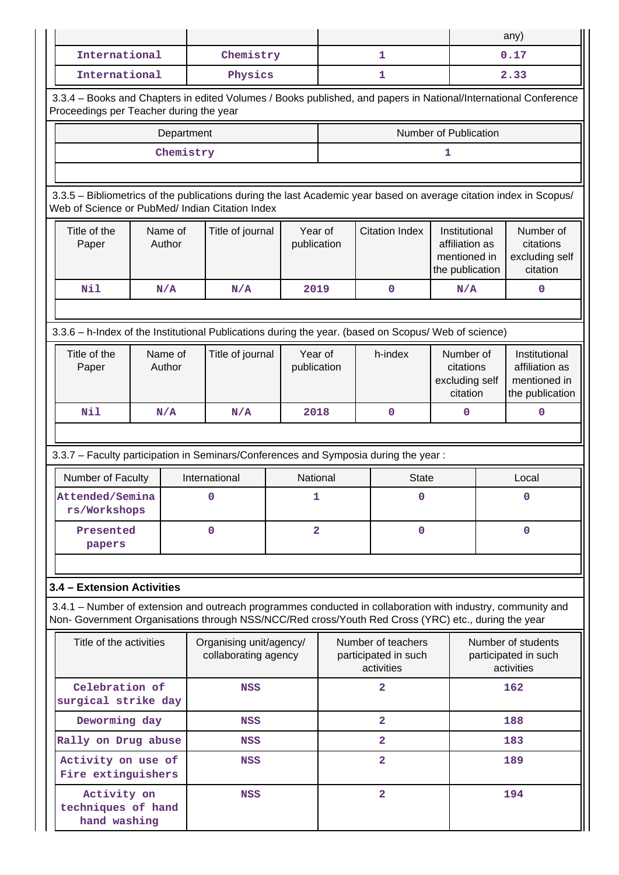|                                                                                                                                                                                                                    |                                             |            |                                                          |                        |         |                                                          |                                                                    |  | any)                                                               |
|--------------------------------------------------------------------------------------------------------------------------------------------------------------------------------------------------------------------|---------------------------------------------|------------|----------------------------------------------------------|------------------------|---------|----------------------------------------------------------|--------------------------------------------------------------------|--|--------------------------------------------------------------------|
| International                                                                                                                                                                                                      |                                             |            | Chemistry                                                |                        |         | $\mathbf{1}$                                             |                                                                    |  | 0.17                                                               |
| International                                                                                                                                                                                                      |                                             |            | Physics<br>1                                             |                        |         |                                                          | 2.33                                                               |  |                                                                    |
| 3.3.4 - Books and Chapters in edited Volumes / Books published, and papers in National/International Conference<br>Proceedings per Teacher during the year                                                         |                                             |            |                                                          |                        |         |                                                          |                                                                    |  |                                                                    |
|                                                                                                                                                                                                                    |                                             | Department |                                                          |                        |         |                                                          | Number of Publication                                              |  |                                                                    |
|                                                                                                                                                                                                                    |                                             | Chemistry  |                                                          |                        |         |                                                          | ı                                                                  |  |                                                                    |
|                                                                                                                                                                                                                    |                                             |            |                                                          |                        |         |                                                          |                                                                    |  |                                                                    |
| 3.3.5 - Bibliometrics of the publications during the last Academic year based on average citation index in Scopus/<br>Web of Science or PubMed/ Indian Citation Index                                              |                                             |            |                                                          |                        |         |                                                          |                                                                    |  |                                                                    |
| Title of the<br>Paper                                                                                                                                                                                              | Name of<br>Author                           |            | Title of journal                                         | publication            | Year of | <b>Citation Index</b>                                    | Institutional<br>affiliation as<br>mentioned in<br>the publication |  | Number of<br>citations<br>excluding self<br>citation               |
| Nil                                                                                                                                                                                                                | N/A                                         |            | N/A                                                      | 2019                   |         | $\mathbf 0$                                              | N/A                                                                |  | $\mathbf 0$                                                        |
|                                                                                                                                                                                                                    |                                             |            |                                                          |                        |         |                                                          |                                                                    |  |                                                                    |
| 3.3.6 - h-Index of the Institutional Publications during the year. (based on Scopus/ Web of science)                                                                                                               |                                             |            |                                                          |                        |         |                                                          |                                                                    |  |                                                                    |
| Title of the<br>Paper                                                                                                                                                                                              | Name of<br>Author                           |            | Title of journal                                         | Year of<br>publication |         | h-index                                                  | Number of<br>citations<br>excluding self<br>citation               |  | Institutional<br>affiliation as<br>mentioned in<br>the publication |
| Nil                                                                                                                                                                                                                | N/A                                         |            | 2018<br>$\mathbf 0$<br>N/A<br>0                          |                        |         |                                                          | $\mathbf 0$                                                        |  |                                                                    |
|                                                                                                                                                                                                                    |                                             |            |                                                          |                        |         |                                                          |                                                                    |  |                                                                    |
| 3.3.7 - Faculty participation in Seminars/Conferences and Symposia during the year:                                                                                                                                |                                             |            |                                                          |                        |         |                                                          |                                                                    |  |                                                                    |
| Number of Faculty                                                                                                                                                                                                  |                                             |            | International                                            | National               |         | <b>State</b>                                             |                                                                    |  | Local                                                              |
|                                                                                                                                                                                                                    | Attended/Semina<br>$\Omega$<br>rs/Workshops |            |                                                          | 1                      |         | $\Omega$                                                 |                                                                    |  | $\Omega$                                                           |
| papers                                                                                                                                                                                                             | Presented                                   |            | $\mathbf 0$                                              | $\overline{2}$         |         | $\mathbf 0$                                              |                                                                    |  | $\mathbf 0$                                                        |
|                                                                                                                                                                                                                    |                                             |            |                                                          |                        |         |                                                          |                                                                    |  |                                                                    |
| 3.4 - Extension Activities                                                                                                                                                                                         |                                             |            |                                                          |                        |         |                                                          |                                                                    |  |                                                                    |
| 3.4.1 – Number of extension and outreach programmes conducted in collaboration with industry, community and<br>Non- Government Organisations through NSS/NCC/Red cross/Youth Red Cross (YRC) etc., during the year |                                             |            |                                                          |                        |         |                                                          |                                                                    |  |                                                                    |
| Title of the activities<br>Organising unit/agency/<br>collaborating agency                                                                                                                                         |                                             |            | Number of teachers<br>participated in such<br>activities |                        |         | Number of students<br>participated in such<br>activities |                                                                    |  |                                                                    |
| Celebration of<br>surgical strike day                                                                                                                                                                              |                                             |            | <b>NSS</b>                                               |                        |         | $\overline{a}$                                           |                                                                    |  | 162                                                                |
| Deworming day                                                                                                                                                                                                      |                                             |            | <b>NSS</b>                                               |                        |         | $\overline{a}$                                           |                                                                    |  | 188                                                                |
| Rally on Drug abuse                                                                                                                                                                                                |                                             |            | <b>NSS</b>                                               |                        |         | $\overline{2}$                                           |                                                                    |  | 183                                                                |
| Activity on use of<br>Fire extinguishers                                                                                                                                                                           |                                             |            | <b>NSS</b>                                               |                        |         | $\overline{\mathbf{2}}$                                  |                                                                    |  | 189                                                                |
| Activity on<br>techniques of hand<br>hand washing                                                                                                                                                                  |                                             |            | <b>NSS</b>                                               |                        |         | $\overline{\mathbf{2}}$                                  |                                                                    |  | 194                                                                |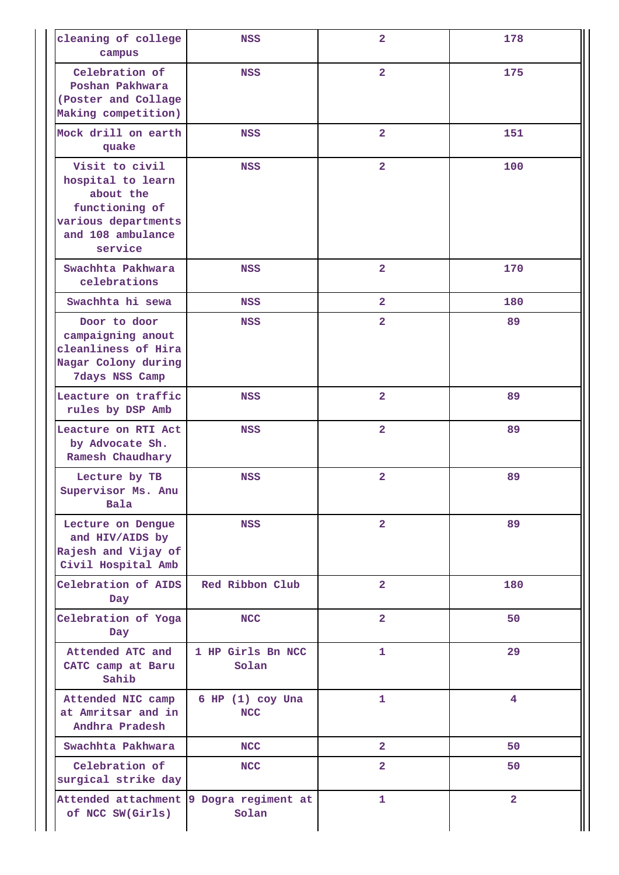| cleaning of college<br>campus                                                                                             | <b>NSS</b>                         | $\overline{\mathbf{2}}$ | 178                     |
|---------------------------------------------------------------------------------------------------------------------------|------------------------------------|-------------------------|-------------------------|
| Celebration of<br>Poshan Pakhwara<br>(Poster and Collage<br>Making competition)                                           | NSS                                | $\overline{\mathbf{2}}$ | 175                     |
| Mock drill on earth<br>quake                                                                                              | NSS                                | $\overline{2}$          | 151                     |
| Visit to civil<br>hospital to learn<br>about the<br>functioning of<br>various departments<br>and 108 ambulance<br>service | <b>NSS</b>                         | $\overline{2}$          | 100                     |
| Swachhta Pakhwara<br>celebrations                                                                                         | <b>NSS</b>                         | $\overline{\mathbf{2}}$ | 170                     |
| Swachhta hi sewa                                                                                                          | NSS                                | $\overline{2}$          | 180                     |
| Door to door<br>campaigning anout<br>cleanliness of Hira<br>Nagar Colony during<br>7days NSS Camp                         | <b>NSS</b>                         | $\overline{\mathbf{2}}$ | 89                      |
| Leacture on traffic<br>rules by DSP Amb                                                                                   | <b>NSS</b>                         | $\overline{\mathbf{2}}$ | 89                      |
| Leacture on RTI Act<br>by Advocate Sh.<br>Ramesh Chaudhary                                                                | <b>NSS</b>                         | $\overline{\mathbf{2}}$ | 89                      |
| Lecture by TB<br>Supervisor Ms. Anu<br>Bala                                                                               | <b>NSS</b>                         | $\overline{\mathbf{2}}$ | 89                      |
| Lecture on Dengue<br>and HIV/AIDS by<br>Rajesh and Vijay of<br>Civil Hospital Amb                                         | NSS                                | $\overline{a}$          | 89                      |
| Celebration of AIDS<br>Day                                                                                                | Red Ribbon Club                    | $\overline{\mathbf{2}}$ | 180                     |
| Celebration of Yoga<br>Day                                                                                                | <b>NCC</b>                         | $\overline{2}$          | 50                      |
| Attended ATC and<br>CATC camp at Baru<br>Sahib                                                                            | 1 HP Girls Bn NCC<br>Solan         | $\mathbf{1}$            | 29                      |
| Attended NIC camp<br>at Amritsar and in<br>Andhra Pradesh                                                                 | $6$ HP $(1)$ coy Una<br><b>NCC</b> | $\mathbf{1}$            | $\overline{\mathbf{4}}$ |
| Swachhta Pakhwara                                                                                                         | <b>NCC</b>                         | $\overline{a}$          | 50                      |
| Celebration of<br>surgical strike day                                                                                     | <b>NCC</b>                         | $\overline{a}$          | 50                      |
| Attended attachment 9 Dogra regiment at<br>of NCC SW(Girls)                                                               | Solan                              | $\mathbf{1}$            | $\overline{a}$          |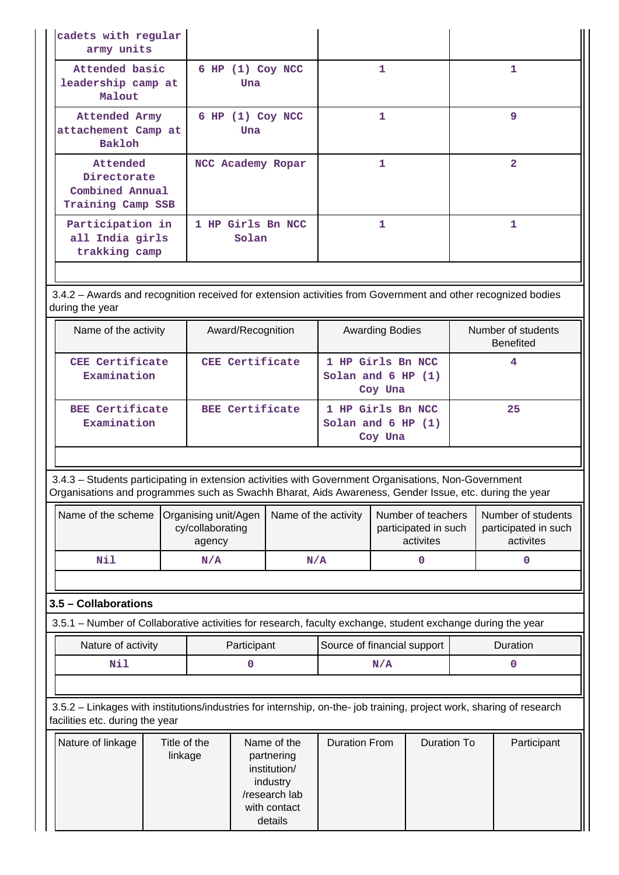| cadets with regular<br>army units                               |                             |   |                |
|-----------------------------------------------------------------|-----------------------------|---|----------------|
| Attended basic<br>leadership camp at<br>Malout                  | $6$ HP $(1)$ Coy NCC<br>Una | 1 | 1              |
| Attended Army<br>attachement Camp at<br><b>Bakloh</b>           | $6$ HP $(1)$ Coy NCC<br>Una |   | 9              |
| Attended<br>Directorate<br>Combined Annual<br>Training Camp SSB | NCC Academy Ropar           | 1 | $\overline{2}$ |
| Participation in<br>all India girls<br>trakking camp            | 1 HP Girls Bn NCC<br>Solan  |   |                |

 3.4.2 – Awards and recognition received for extension activities from Government and other recognized bodies during the year

| Name of the activity                  | Award/Recognition | <b>Awarding Bodies</b>                                 | Number of students<br><b>Benefited</b> |
|---------------------------------------|-------------------|--------------------------------------------------------|----------------------------------------|
| CEE Certificate<br>Examination        | CEE Certificate   | 1 HP Girls Bn NCC<br>Solan and $6$ HP $(1)$<br>Coy Una |                                        |
| <b>BEE Certificate</b><br>Examination | BEE Certificate   | 1 HP Girls Bn NCC<br>Solan and $6$ HP $(1)$<br>Coy Una | 25                                     |

 3.4.3 – Students participating in extension activities with Government Organisations, Non-Government Organisations and programmes such as Swachh Bharat, Aids Awareness, Gender Issue, etc. during the year

|     | Name of the scheme   Organising unit/Agen  <br>cy/collaborating<br>agency | Name of the activity | Number of teachers<br>participated in such<br>activites | Number of students<br>participated in such<br>activites |
|-----|---------------------------------------------------------------------------|----------------------|---------------------------------------------------------|---------------------------------------------------------|
| Nil | N/A                                                                       | N/A                  |                                                         |                                                         |

## **3.5 – Collaborations**

3.5.1 – Number of Collaborative activities for research, faculty exchange, student exchange during the year

| Nature of activity | Participant | Source of financial support | Duration |
|--------------------|-------------|-----------------------------|----------|
| NT÷                |             |                             |          |

 3.5.2 – Linkages with institutions/industries for internship, on-the- job training, project work, sharing of research facilities etc. during the year

| Nature of linkage | Title of the<br>linkage | Name of the<br>partnering<br>institution/<br>industry<br>/research lab | <b>Duration From</b> | Duration To | Participant |
|-------------------|-------------------------|------------------------------------------------------------------------|----------------------|-------------|-------------|
|                   |                         | with contact<br>details                                                |                      |             |             |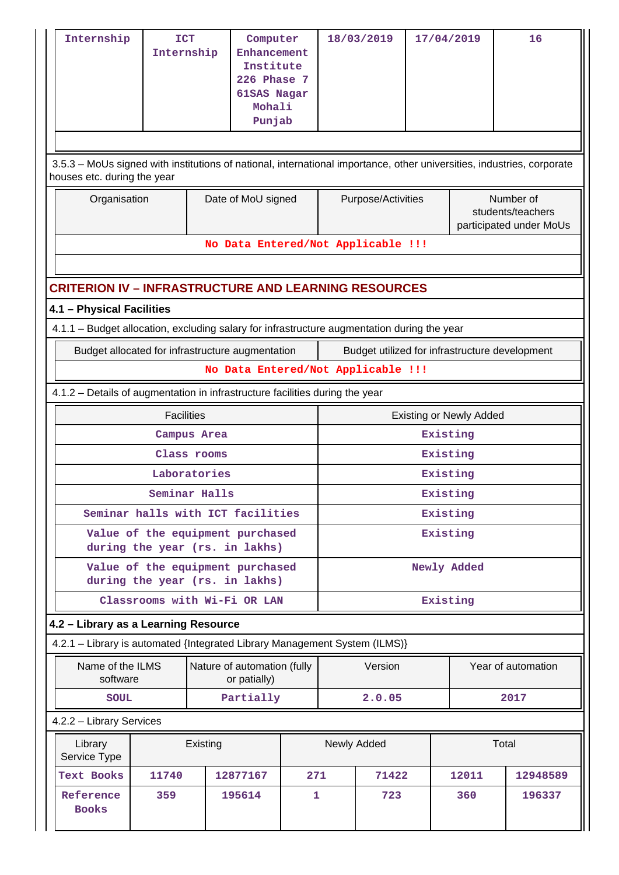| Internship                                                                                                                                            | <b>ICT</b><br>Internship                                                                    |               | Computer<br>Enhancement<br>Institute<br><b>226 Phase 7</b><br>61SAS Nagar<br>Mohali<br>Punjab |     |                    | 18/03/2019                         | 17/04/2019 |                                                           | 16                                             |  |  |
|-------------------------------------------------------------------------------------------------------------------------------------------------------|---------------------------------------------------------------------------------------------|---------------|-----------------------------------------------------------------------------------------------|-----|--------------------|------------------------------------|------------|-----------------------------------------------------------|------------------------------------------------|--|--|
| 3.5.3 - MoUs signed with institutions of national, international importance, other universities, industries, corporate<br>houses etc. during the year |                                                                                             |               |                                                                                               |     |                    |                                    |            |                                                           |                                                |  |  |
| Organisation                                                                                                                                          |                                                                                             |               | Date of MoU signed                                                                            |     | Purpose/Activities |                                    |            | Number of<br>students/teachers<br>participated under MoUs |                                                |  |  |
|                                                                                                                                                       |                                                                                             |               |                                                                                               |     |                    | No Data Entered/Not Applicable !!! |            |                                                           |                                                |  |  |
| <b>CRITERION IV - INFRASTRUCTURE AND LEARNING RESOURCES</b>                                                                                           |                                                                                             |               |                                                                                               |     |                    |                                    |            |                                                           |                                                |  |  |
| 4.1 - Physical Facilities                                                                                                                             |                                                                                             |               |                                                                                               |     |                    |                                    |            |                                                           |                                                |  |  |
|                                                                                                                                                       | 4.1.1 - Budget allocation, excluding salary for infrastructure augmentation during the year |               |                                                                                               |     |                    |                                    |            |                                                           |                                                |  |  |
| Budget allocated for infrastructure augmentation                                                                                                      |                                                                                             |               |                                                                                               |     |                    |                                    |            |                                                           | Budget utilized for infrastructure development |  |  |
|                                                                                                                                                       |                                                                                             |               |                                                                                               |     |                    | No Data Entered/Not Applicable !!! |            |                                                           |                                                |  |  |
| 4.1.2 - Details of augmentation in infrastructure facilities during the year                                                                          |                                                                                             |               |                                                                                               |     |                    |                                    |            |                                                           |                                                |  |  |
|                                                                                                                                                       | <b>Facilities</b>                                                                           |               |                                                                                               |     |                    |                                    |            | <b>Existing or Newly Added</b>                            |                                                |  |  |
|                                                                                                                                                       |                                                                                             | Campus Area   |                                                                                               |     |                    |                                    | Existing   |                                                           |                                                |  |  |
|                                                                                                                                                       |                                                                                             | Class rooms   |                                                                                               |     | Existing           |                                    |            |                                                           |                                                |  |  |
|                                                                                                                                                       |                                                                                             | Laboratories  |                                                                                               |     | Existing           |                                    |            |                                                           |                                                |  |  |
|                                                                                                                                                       |                                                                                             | Seminar Halls |                                                                                               |     | Existing           |                                    |            |                                                           |                                                |  |  |
| Seminar halls with ICT facilities                                                                                                                     |                                                                                             |               |                                                                                               |     | Existing           |                                    |            |                                                           |                                                |  |  |
| Value of the equipment purchased<br>during the year (rs. in lakhs)                                                                                    |                                                                                             |               |                                                                                               |     | Existing           |                                    |            |                                                           |                                                |  |  |
| Value of the equipment purchased<br>during the year (rs. in lakhs)                                                                                    |                                                                                             |               |                                                                                               |     | Newly Added        |                                    |            |                                                           |                                                |  |  |
|                                                                                                                                                       | Classrooms with Wi-Fi OR LAN                                                                |               |                                                                                               |     |                    |                                    | Existing   |                                                           |                                                |  |  |
| 4.2 - Library as a Learning Resource                                                                                                                  |                                                                                             |               |                                                                                               |     |                    |                                    |            |                                                           |                                                |  |  |
| 4.2.1 - Library is automated {Integrated Library Management System (ILMS)}                                                                            |                                                                                             |               |                                                                                               |     |                    |                                    |            |                                                           |                                                |  |  |
| Name of the ILMS<br>software                                                                                                                          |                                                                                             |               | Nature of automation (fully<br>or patially)                                                   |     |                    | Version                            |            |                                                           | Year of automation                             |  |  |
| <b>SOUL</b>                                                                                                                                           |                                                                                             |               | Partially                                                                                     |     |                    | 2.0.05                             |            |                                                           | 2017                                           |  |  |
| 4.2.2 - Library Services                                                                                                                              |                                                                                             |               |                                                                                               |     |                    |                                    |            |                                                           |                                                |  |  |
| Library<br>Service Type                                                                                                                               |                                                                                             | Existing      |                                                                                               |     |                    | Newly Added                        |            |                                                           | Total                                          |  |  |
| Text Books                                                                                                                                            | 11740                                                                                       |               | 12877167                                                                                      | 271 |                    | 71422                              |            | 12011                                                     | 12948589                                       |  |  |
| Reference<br><b>Books</b>                                                                                                                             | 359                                                                                         |               | 195614                                                                                        | 1   |                    | 723                                |            | 360                                                       | 196337                                         |  |  |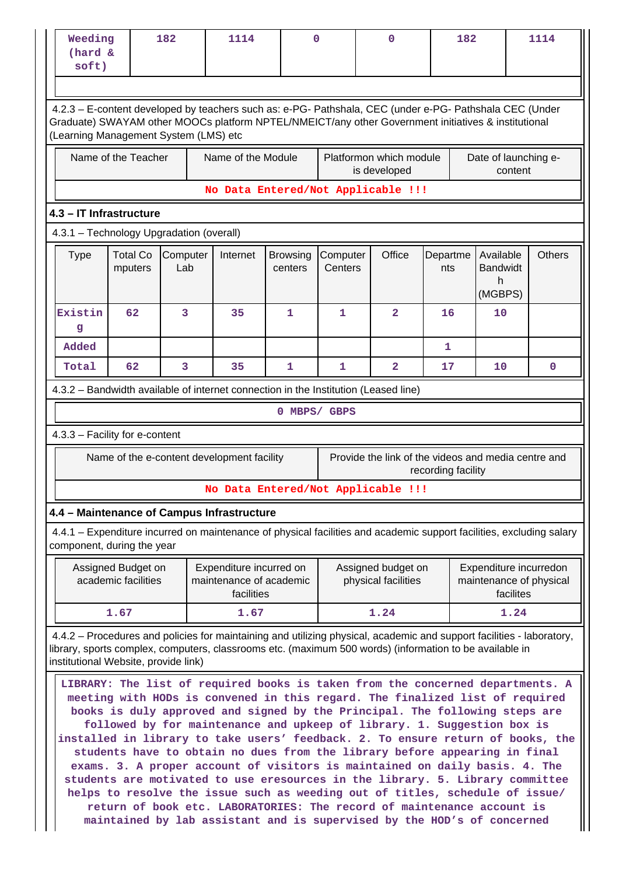| soft)                                                                                                                                                                                                                                                                                                                                                                                                                                      | Weeding<br>182<br>(hard &                                                                                               |                 | 1114<br>0                                                                                                                                                                                                                                                                                                                                                                                                                                                                                                                                                                                                                                                                                                                    |                            |                     | 182<br>0                                            |                    |                                                   |           | 1114          |  |  |  |  |
|--------------------------------------------------------------------------------------------------------------------------------------------------------------------------------------------------------------------------------------------------------------------------------------------------------------------------------------------------------------------------------------------------------------------------------------------|-------------------------------------------------------------------------------------------------------------------------|-----------------|------------------------------------------------------------------------------------------------------------------------------------------------------------------------------------------------------------------------------------------------------------------------------------------------------------------------------------------------------------------------------------------------------------------------------------------------------------------------------------------------------------------------------------------------------------------------------------------------------------------------------------------------------------------------------------------------------------------------------|----------------------------|---------------------|-----------------------------------------------------|--------------------|---------------------------------------------------|-----------|---------------|--|--|--|--|
|                                                                                                                                                                                                                                                                                                                                                                                                                                            |                                                                                                                         |                 |                                                                                                                                                                                                                                                                                                                                                                                                                                                                                                                                                                                                                                                                                                                              |                            |                     |                                                     |                    |                                                   |           |               |  |  |  |  |
| 4.2.3 - E-content developed by teachers such as: e-PG- Pathshala, CEC (under e-PG- Pathshala CEC (Under<br>Graduate) SWAYAM other MOOCs platform NPTEL/NMEICT/any other Government initiatives & institutional<br>(Learning Management System (LMS) etc                                                                                                                                                                                    |                                                                                                                         |                 |                                                                                                                                                                                                                                                                                                                                                                                                                                                                                                                                                                                                                                                                                                                              |                            |                     |                                                     |                    |                                                   |           |               |  |  |  |  |
|                                                                                                                                                                                                                                                                                                                                                                                                                                            | Name of the Teacher<br>Name of the Module<br>Platformon which module<br>Date of launching e-<br>is developed<br>content |                 |                                                                                                                                                                                                                                                                                                                                                                                                                                                                                                                                                                                                                                                                                                                              |                            |                     |                                                     |                    |                                                   |           |               |  |  |  |  |
|                                                                                                                                                                                                                                                                                                                                                                                                                                            | No Data Entered/Not Applicable !!!                                                                                      |                 |                                                                                                                                                                                                                                                                                                                                                                                                                                                                                                                                                                                                                                                                                                                              |                            |                     |                                                     |                    |                                                   |           |               |  |  |  |  |
| 4.3 - IT Infrastructure<br>4.3.1 - Technology Upgradation (overall)                                                                                                                                                                                                                                                                                                                                                                        |                                                                                                                         |                 |                                                                                                                                                                                                                                                                                                                                                                                                                                                                                                                                                                                                                                                                                                                              |                            |                     |                                                     |                    |                                                   |           |               |  |  |  |  |
|                                                                                                                                                                                                                                                                                                                                                                                                                                            |                                                                                                                         |                 |                                                                                                                                                                                                                                                                                                                                                                                                                                                                                                                                                                                                                                                                                                                              |                            |                     |                                                     |                    |                                                   |           |               |  |  |  |  |
| <b>Type</b>                                                                                                                                                                                                                                                                                                                                                                                                                                | <b>Total Co</b><br>mputers                                                                                              | Computer<br>Lab | Internet                                                                                                                                                                                                                                                                                                                                                                                                                                                                                                                                                                                                                                                                                                                     | <b>Browsing</b><br>centers | Computer<br>Centers | Office                                              | Departme<br>nts    | Available<br><b>Bandwidt</b><br>h                 |           | <b>Others</b> |  |  |  |  |
|                                                                                                                                                                                                                                                                                                                                                                                                                                            |                                                                                                                         |                 |                                                                                                                                                                                                                                                                                                                                                                                                                                                                                                                                                                                                                                                                                                                              |                            |                     |                                                     |                    | (MGBPS)                                           |           |               |  |  |  |  |
| Existin<br>g                                                                                                                                                                                                                                                                                                                                                                                                                               | 62                                                                                                                      | 3               | 35                                                                                                                                                                                                                                                                                                                                                                                                                                                                                                                                                                                                                                                                                                                           | 1                          | $\mathbf{1}$        | $\overline{a}$                                      | 16                 | 10                                                |           |               |  |  |  |  |
| Added                                                                                                                                                                                                                                                                                                                                                                                                                                      |                                                                                                                         |                 |                                                                                                                                                                                                                                                                                                                                                                                                                                                                                                                                                                                                                                                                                                                              |                            |                     |                                                     | 1                  |                                                   |           |               |  |  |  |  |
| Total                                                                                                                                                                                                                                                                                                                                                                                                                                      | 62                                                                                                                      | 3               | 35                                                                                                                                                                                                                                                                                                                                                                                                                                                                                                                                                                                                                                                                                                                           | $\mathbf{1}$               | 1                   | $\overline{\mathbf{2}}$                             | 17                 | 10                                                |           | $\mathbf 0$   |  |  |  |  |
|                                                                                                                                                                                                                                                                                                                                                                                                                                            |                                                                                                                         |                 | 4.3.2 - Bandwidth available of internet connection in the Institution (Leased line)                                                                                                                                                                                                                                                                                                                                                                                                                                                                                                                                                                                                                                          |                            |                     |                                                     |                    |                                                   |           |               |  |  |  |  |
|                                                                                                                                                                                                                                                                                                                                                                                                                                            |                                                                                                                         |                 |                                                                                                                                                                                                                                                                                                                                                                                                                                                                                                                                                                                                                                                                                                                              |                            | 0 MBPS/ GBPS        |                                                     |                    |                                                   |           |               |  |  |  |  |
| 4.3.3 - Facility for e-content                                                                                                                                                                                                                                                                                                                                                                                                             |                                                                                                                         |                 |                                                                                                                                                                                                                                                                                                                                                                                                                                                                                                                                                                                                                                                                                                                              |                            |                     |                                                     |                    |                                                   |           |               |  |  |  |  |
|                                                                                                                                                                                                                                                                                                                                                                                                                                            |                                                                                                                         |                 | Name of the e-content development facility                                                                                                                                                                                                                                                                                                                                                                                                                                                                                                                                                                                                                                                                                   |                            |                     | Provide the link of the videos and media centre and | recording facility |                                                   |           |               |  |  |  |  |
|                                                                                                                                                                                                                                                                                                                                                                                                                                            |                                                                                                                         |                 | No Data Entered/Not Applicable !!!                                                                                                                                                                                                                                                                                                                                                                                                                                                                                                                                                                                                                                                                                           |                            |                     |                                                     |                    |                                                   |           |               |  |  |  |  |
|                                                                                                                                                                                                                                                                                                                                                                                                                                            |                                                                                                                         |                 | 4.4 - Maintenance of Campus Infrastructure                                                                                                                                                                                                                                                                                                                                                                                                                                                                                                                                                                                                                                                                                   |                            |                     |                                                     |                    |                                                   |           |               |  |  |  |  |
| component, during the year                                                                                                                                                                                                                                                                                                                                                                                                                 |                                                                                                                         |                 | 4.4.1 – Expenditure incurred on maintenance of physical facilities and academic support facilities, excluding salary                                                                                                                                                                                                                                                                                                                                                                                                                                                                                                                                                                                                         |                            |                     |                                                     |                    |                                                   |           |               |  |  |  |  |
|                                                                                                                                                                                                                                                                                                                                                                                                                                            | Assigned Budget on<br>academic facilities                                                                               |                 | Expenditure incurred on<br>maintenance of academic<br>facilities                                                                                                                                                                                                                                                                                                                                                                                                                                                                                                                                                                                                                                                             |                            |                     | Assigned budget on<br>physical facilities           |                    | Expenditure incurredon<br>maintenance of physical | facilites |               |  |  |  |  |
|                                                                                                                                                                                                                                                                                                                                                                                                                                            | 1.67                                                                                                                    |                 | 1.67                                                                                                                                                                                                                                                                                                                                                                                                                                                                                                                                                                                                                                                                                                                         |                            |                     | 1.24                                                |                    |                                                   | 1.24      |               |  |  |  |  |
| 4.4.2 – Procedures and policies for maintaining and utilizing physical, academic and support facilities - laboratory,<br>library, sports complex, computers, classrooms etc. (maximum 500 words) (information to be available in<br>institutional Website, provide link)<br>LIBRARY: The list of required books is taken from the concerned departments. A<br>meeting with HODs is convened in this regard. The finalized list of required |                                                                                                                         |                 |                                                                                                                                                                                                                                                                                                                                                                                                                                                                                                                                                                                                                                                                                                                              |                            |                     |                                                     |                    |                                                   |           |               |  |  |  |  |
|                                                                                                                                                                                                                                                                                                                                                                                                                                            |                                                                                                                         |                 | books is duly approved and signed by the Principal. The following steps are<br>followed by for maintenance and upkeep of library. 1. Suggestion box is<br>installed in library to take users' feedback. 2. To ensure return of books, the<br>students have to obtain no dues from the library before appearing in final<br>exams. 3. A proper account of visitors is maintained on daily basis. 4. The<br>students are motivated to use eresources in the library. 5. Library committee<br>helps to resolve the issue such as weeding out of titles, schedule of issue/<br>return of book etc. LABORATORIES: The record of maintenance account is<br>maintained by lab assistant and is supervised by the HOD's of concerned |                            |                     |                                                     |                    |                                                   |           |               |  |  |  |  |

**return of book etc. LABORATORIES: The record of maintenance account is maintained by lab assistant and is supervised by the HOD's of concerned**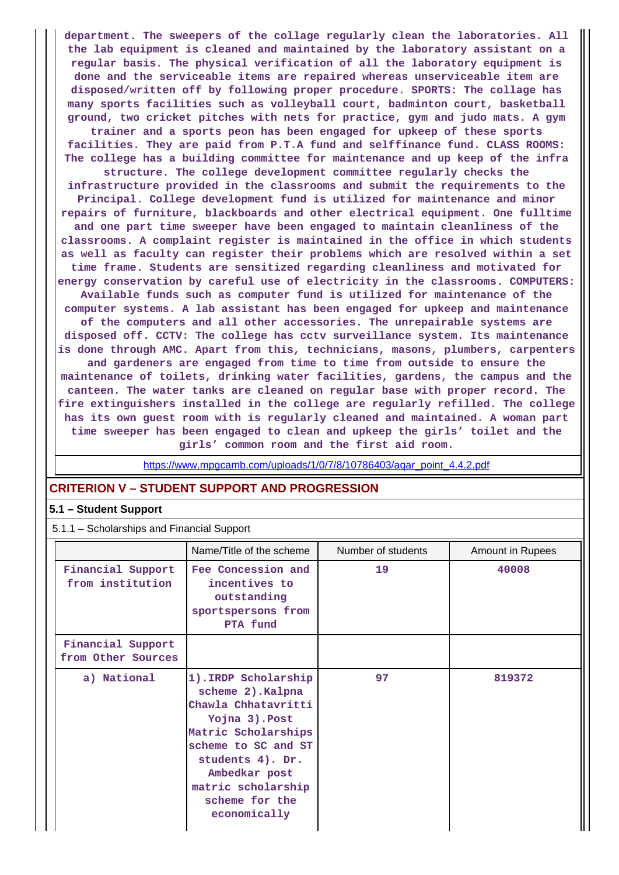**department. The sweepers of the collage regularly clean the laboratories. All the lab equipment is cleaned and maintained by the laboratory assistant on a regular basis. The physical verification of all the laboratory equipment is done and the serviceable items are repaired whereas unserviceable item are disposed/written off by following proper procedure. SPORTS: The collage has many sports facilities such as volleyball court, badminton court, basketball ground, two cricket pitches with nets for practice, gym and judo mats. A gym trainer and a sports peon has been engaged for upkeep of these sports facilities. They are paid from P.T.A fund and selffinance fund. CLASS ROOMS: The college has a building committee for maintenance and up keep of the infra structure. The college development committee regularly checks the infrastructure provided in the classrooms and submit the requirements to the Principal. College development fund is utilized for maintenance and minor repairs of furniture, blackboards and other electrical equipment. One fulltime and one part time sweeper have been engaged to maintain cleanliness of the classrooms. A complaint register is maintained in the office in which students as well as faculty can register their problems which are resolved within a set time frame. Students are sensitized regarding cleanliness and motivated for energy conservation by careful use of electricity in the classrooms. COMPUTERS: Available funds such as computer fund is utilized for maintenance of the computer systems. A lab assistant has been engaged for upkeep and maintenance of the computers and all other accessories. The unrepairable systems are disposed off. CCTV: The college has cctv surveillance system. Its maintenance is done through AMC. Apart from this, technicians, masons, plumbers, carpenters and gardeners are engaged from time to time from outside to ensure the maintenance of toilets, drinking water facilities, gardens, the campus and the canteen. The water tanks are cleaned on regular base with proper record. The fire extinguishers installed in the college are regularly refilled. The college has its own guest room with is regularly cleaned and maintained. A woman part time sweeper has been engaged to clean and upkeep the girls' toilet and the girls' common room and the first aid room.**

https://www.mpgcamb.com/uploads/1/0/7/8/10786403/agar\_point\_4.4.2.pdf

## **CRITERION V – STUDENT SUPPORT AND PROGRESSION**

### **5.1 – Student Support**

5.1.1 – Scholarships and Financial Support

|                                         | Name/Title of the scheme                                                                                                                                                                                                      | Number of students | <b>Amount in Rupees</b> |
|-----------------------------------------|-------------------------------------------------------------------------------------------------------------------------------------------------------------------------------------------------------------------------------|--------------------|-------------------------|
| Financial Support<br>from institution   | Fee Concession and<br>incentives to<br>outstanding<br>sportspersons from<br>PTA fund                                                                                                                                          | 19                 | 40008                   |
| Financial Support<br>from Other Sources |                                                                                                                                                                                                                               |                    |                         |
| a) National                             | 1). IRDP Scholarship<br>scheme 2). Kalpna<br>Chawla Chhatavritti<br>Yojna 3). Post<br>Matric Scholarships<br>scheme to SC and ST<br>students 4). Dr.<br>Ambedkar post<br>matric scholarship<br>scheme for the<br>economically | 97                 | 819372                  |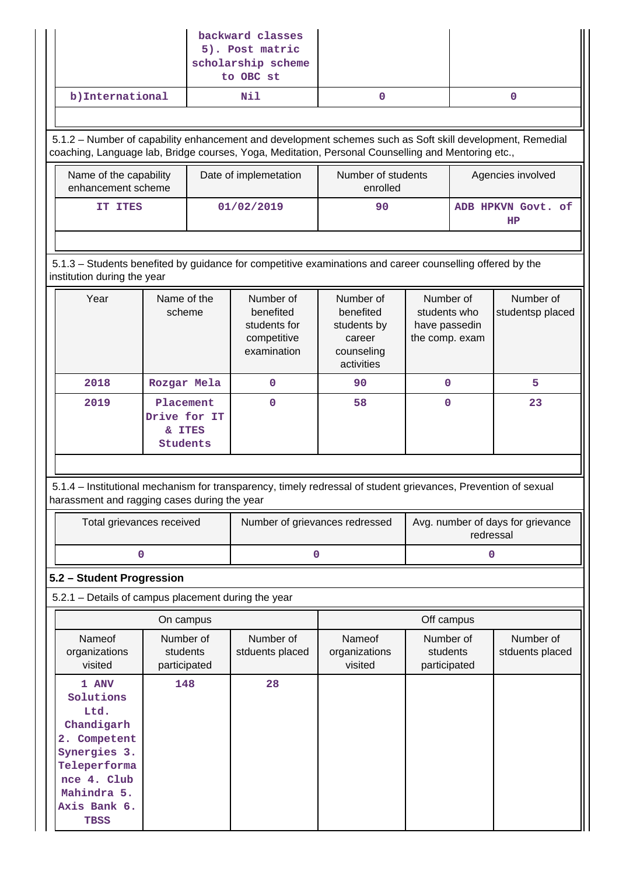| backward classes<br>5). Post matric<br>scholarship scheme<br>to OBC st |                                                                                                                                                       |                                                 |  |                                                                      |                                                                                                                                                                                                                 |                                                              |           |                                   |  |                               |  |  |  |
|------------------------------------------------------------------------|-------------------------------------------------------------------------------------------------------------------------------------------------------|-------------------------------------------------|--|----------------------------------------------------------------------|-----------------------------------------------------------------------------------------------------------------------------------------------------------------------------------------------------------------|--------------------------------------------------------------|-----------|-----------------------------------|--|-------------------------------|--|--|--|
|                                                                        | b) International                                                                                                                                      |                                                 |  | Nil                                                                  | $\mathbf 0$                                                                                                                                                                                                     |                                                              |           | $\mathbf 0$                       |  |                               |  |  |  |
|                                                                        |                                                                                                                                                       |                                                 |  |                                                                      |                                                                                                                                                                                                                 |                                                              |           |                                   |  |                               |  |  |  |
|                                                                        |                                                                                                                                                       |                                                 |  |                                                                      | 5.1.2 - Number of capability enhancement and development schemes such as Soft skill development, Remedial<br>coaching, Language lab, Bridge courses, Yoga, Meditation, Personal Counselling and Mentoring etc., |                                                              |           |                                   |  |                               |  |  |  |
|                                                                        | Name of the capability<br>enhancement scheme                                                                                                          |                                                 |  | Date of implemetation                                                | enrolled                                                                                                                                                                                                        | Number of students                                           |           | Agencies involved                 |  |                               |  |  |  |
|                                                                        | IT ITES                                                                                                                                               |                                                 |  | 01/02/2019                                                           | 90                                                                                                                                                                                                              |                                                              |           | ADB HPKVN Govt. of<br>HP          |  |                               |  |  |  |
|                                                                        |                                                                                                                                                       |                                                 |  |                                                                      |                                                                                                                                                                                                                 |                                                              |           |                                   |  |                               |  |  |  |
|                                                                        | 5.1.3 - Students benefited by guidance for competitive examinations and career counselling offered by the<br>institution during the year              |                                                 |  |                                                                      |                                                                                                                                                                                                                 |                                                              |           |                                   |  |                               |  |  |  |
|                                                                        | Year                                                                                                                                                  | Name of the<br>scheme                           |  | Number of<br>benefited<br>students for<br>competitive<br>examination | Number of<br>benefited<br>students by<br>career<br>counseling<br>activities                                                                                                                                     | Number of<br>students who<br>have passedin<br>the comp. exam |           |                                   |  | Number of<br>studentsp placed |  |  |  |
|                                                                        | 2018                                                                                                                                                  | Rozgar Mela                                     |  | $\mathbf 0$                                                          | 90                                                                                                                                                                                                              | $\mathbf 0$                                                  |           | 5                                 |  |                               |  |  |  |
|                                                                        | 2019                                                                                                                                                  | Placement<br>Drive for IT<br>& ITES<br>Students |  | 0                                                                    | 58                                                                                                                                                                                                              | $\mathbf 0$                                                  |           | 23                                |  |                               |  |  |  |
|                                                                        | harassment and ragging cases during the year                                                                                                          |                                                 |  |                                                                      | 5.1.4 – Institutional mechanism for transparency, timely redressal of student grievances, Prevention of sexual                                                                                                  |                                                              |           |                                   |  |                               |  |  |  |
|                                                                        | Total grievances received                                                                                                                             |                                                 |  | Number of grievances redressed                                       |                                                                                                                                                                                                                 |                                                              | redressal | Avg. number of days for grievance |  |                               |  |  |  |
|                                                                        | 0                                                                                                                                                     |                                                 |  |                                                                      | 0<br>$\mathbf 0$                                                                                                                                                                                                |                                                              |           |                                   |  |                               |  |  |  |
|                                                                        | 5.2 - Student Progression                                                                                                                             |                                                 |  |                                                                      |                                                                                                                                                                                                                 |                                                              |           |                                   |  |                               |  |  |  |
|                                                                        | 5.2.1 - Details of campus placement during the year                                                                                                   |                                                 |  |                                                                      |                                                                                                                                                                                                                 |                                                              |           |                                   |  |                               |  |  |  |
|                                                                        |                                                                                                                                                       | On campus                                       |  |                                                                      |                                                                                                                                                                                                                 | Off campus                                                   |           |                                   |  |                               |  |  |  |
|                                                                        | Nameof<br>organizations<br>visited                                                                                                                    | Number of<br>students<br>participated           |  | Number of<br>stduents placed                                         | Nameof<br>organizations<br>visited                                                                                                                                                                              | Number of<br>students<br>participated                        |           | Number of<br>stduents placed      |  |                               |  |  |  |
|                                                                        | 1 ANV<br>Solutions<br>Ltd.<br>Chandigarh<br>2. Competent<br>Synergies 3.<br>Teleperforma<br>nce 4. Club<br>Mahindra 5.<br>Axis Bank 6.<br><b>TBSS</b> | 148                                             |  | 28                                                                   |                                                                                                                                                                                                                 |                                                              |           |                                   |  |                               |  |  |  |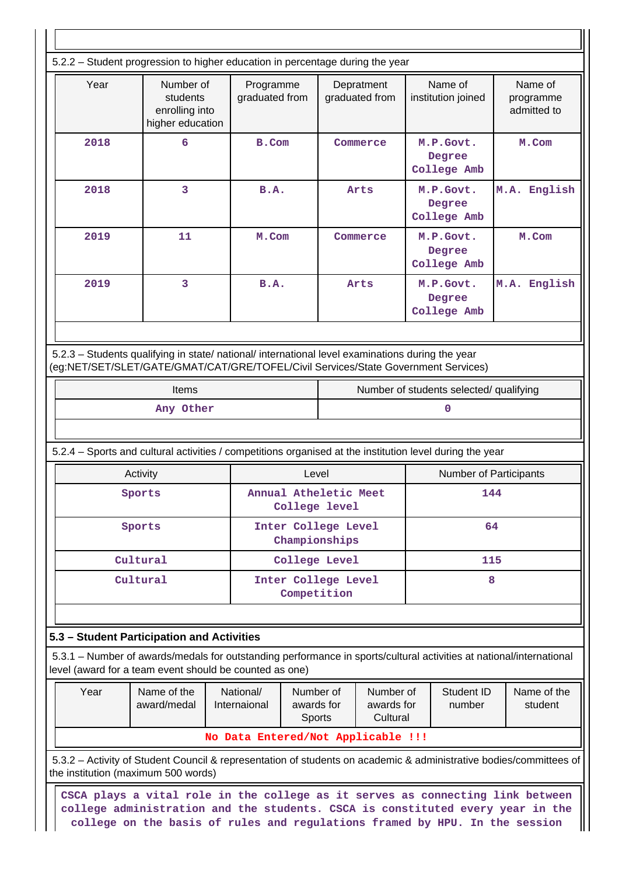| 5.2.2 - Student progression to higher education in percentage during the year                                                                                                  |                                                                                                                                                                                        |             |       |                                        |                              |  |                                         |                                     |  |  |  |  |
|--------------------------------------------------------------------------------------------------------------------------------------------------------------------------------|----------------------------------------------------------------------------------------------------------------------------------------------------------------------------------------|-------------|-------|----------------------------------------|------------------------------|--|-----------------------------------------|-------------------------------------|--|--|--|--|
| Year                                                                                                                                                                           | Number of<br>Programme<br>graduated from<br>students<br>enrolling into<br>higher education                                                                                             |             |       |                                        | Depratment<br>graduated from |  | Name of<br>institution joined           | Name of<br>programme<br>admitted to |  |  |  |  |
| 2018                                                                                                                                                                           | 6<br>B.Com                                                                                                                                                                             |             |       | Commerce                               |                              |  | M.P.Govt.<br>Degree<br>College Amb      | M.Com                               |  |  |  |  |
| 2018                                                                                                                                                                           | 3                                                                                                                                                                                      | B.A.        |       |                                        | Arts                         |  | M.P.Govt.<br>Degree<br>College Amb      | M.A. English                        |  |  |  |  |
| 2019                                                                                                                                                                           | 11                                                                                                                                                                                     | M.Com       |       |                                        | Commerce                     |  | M.P.Govt.<br>Degree<br>College Amb      | M.Com                               |  |  |  |  |
| 2019                                                                                                                                                                           | 3                                                                                                                                                                                      | <b>B.A.</b> |       |                                        | Arts                         |  | M.P.Govt.<br>Degree<br>College Amb      | M.A. English                        |  |  |  |  |
|                                                                                                                                                                                |                                                                                                                                                                                        |             |       |                                        |                              |  |                                         |                                     |  |  |  |  |
|                                                                                                                                                                                | 5.2.3 - Students qualifying in state/ national/ international level examinations during the year<br>(eg:NET/SET/SLET/GATE/GMAT/CAT/GRE/TOFEL/Civil Services/State Government Services) |             |       |                                        |                              |  |                                         |                                     |  |  |  |  |
|                                                                                                                                                                                | Items                                                                                                                                                                                  |             |       |                                        |                              |  | Number of students selected/ qualifying |                                     |  |  |  |  |
|                                                                                                                                                                                | Any Other                                                                                                                                                                              |             |       |                                        |                              |  | 0                                       |                                     |  |  |  |  |
| 5.2.4 – Sports and cultural activities / competitions organised at the institution level during the year                                                                       |                                                                                                                                                                                        |             |       |                                        |                              |  |                                         |                                     |  |  |  |  |
|                                                                                                                                                                                | Activity                                                                                                                                                                               |             | Level |                                        |                              |  | Number of Participants                  |                                     |  |  |  |  |
|                                                                                                                                                                                | Sports                                                                                                                                                                                 |             |       | Annual Atheletic Meet<br>College level |                              |  | 144                                     |                                     |  |  |  |  |
|                                                                                                                                                                                | Sports                                                                                                                                                                                 |             |       | Inter College Level<br>Championships   |                              |  | 64                                      |                                     |  |  |  |  |
|                                                                                                                                                                                | Cultural                                                                                                                                                                               |             |       | College Level                          |                              |  | 115                                     |                                     |  |  |  |  |
|                                                                                                                                                                                | Cultural                                                                                                                                                                               |             |       | Inter College Level<br>Competition     |                              |  | 8                                       |                                     |  |  |  |  |
|                                                                                                                                                                                |                                                                                                                                                                                        |             |       |                                        |                              |  |                                         |                                     |  |  |  |  |
| 5.3 - Student Participation and Activities                                                                                                                                     |                                                                                                                                                                                        |             |       |                                        |                              |  |                                         |                                     |  |  |  |  |
| 5.3.1 - Number of awards/medals for outstanding performance in sports/cultural activities at national/international<br>level (award for a team event should be counted as one) |                                                                                                                                                                                        |             |       |                                        |                              |  |                                         |                                     |  |  |  |  |
| Year                                                                                                                                                                           | Name of the<br>National/<br>Number of<br>Number of<br>Student ID<br>award/medal<br>Internaional<br>awards for<br>awards for<br>number<br>Sports<br>Cultural                            |             |       |                                        | Name of the<br>student       |  |                                         |                                     |  |  |  |  |
| No Data Entered/Not Applicable !!!                                                                                                                                             |                                                                                                                                                                                        |             |       |                                        |                              |  |                                         |                                     |  |  |  |  |
| 5.3.2 – Activity of Student Council & representation of students on academic & administrative bodies/committees of<br>the institution (maximum 500 words)                      |                                                                                                                                                                                        |             |       |                                        |                              |  |                                         |                                     |  |  |  |  |
|                                                                                                                                                                                | CSCA plays a vital role in the college as it serves as connecting link between<br>college administration and the students. CSCA is constituted every year in the                       |             |       |                                        |                              |  |                                         |                                     |  |  |  |  |

**college on the basis of rules and regulations framed by HPU. In the session**

 $\blacksquare$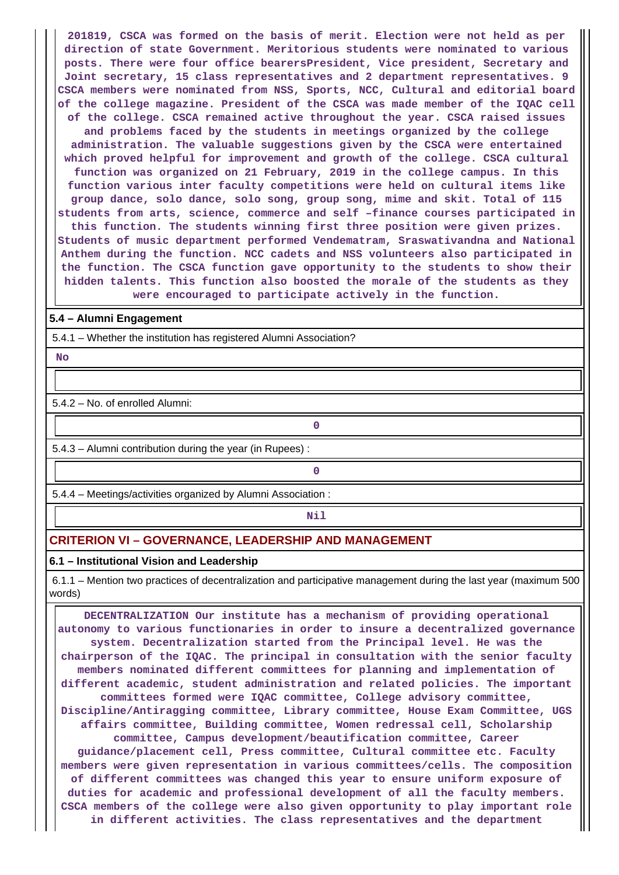**201819, CSCA was formed on the basis of merit. Election were not held as per direction of state Government. Meritorious students were nominated to various posts. There were four office bearersPresident, Vice president, Secretary and Joint secretary, 15 class representatives and 2 department representatives. 9 CSCA members were nominated from NSS, Sports, NCC, Cultural and editorial board of the college magazine. President of the CSCA was made member of the IQAC cell of the college. CSCA remained active throughout the year. CSCA raised issues and problems faced by the students in meetings organized by the college administration. The valuable suggestions given by the CSCA were entertained which proved helpful for improvement and growth of the college. CSCA cultural function was organized on 21 February, 2019 in the college campus. In this function various inter faculty competitions were held on cultural items like group dance, solo dance, solo song, group song, mime and skit. Total of 115 students from arts, science, commerce and self –finance courses participated in this function. The students winning first three position were given prizes. Students of music department performed Vendematram, Sraswativandna and National Anthem during the function. NCC cadets and NSS volunteers also participated in the function. The CSCA function gave opportunity to the students to show their hidden talents. This function also boosted the morale of the students as they were encouraged to participate actively in the function.**

#### **5.4 – Alumni Engagement**

5.4.1 – Whether the institution has registered Alumni Association?

 **No**

5.4.2 – No. of enrolled Alumni:

5.4.3 – Alumni contribution during the year (in Rupees) :

**0**

**0**

5.4.4 – Meetings/activities organized by Alumni Association :

**Nil** 

### **CRITERION VI – GOVERNANCE, LEADERSHIP AND MANAGEMENT**

#### **6.1 – Institutional Vision and Leadership**

 6.1.1 – Mention two practices of decentralization and participative management during the last year (maximum 500 words)

 **DECENTRALIZATION Our institute has a mechanism of providing operational autonomy to various functionaries in order to insure a decentralized governance system. Decentralization started from the Principal level. He was the chairperson of the IQAC. The principal in consultation with the senior faculty members nominated different committees for planning and implementation of different academic, student administration and related policies. The important committees formed were IQAC committee, College advisory committee, Discipline/Antiragging committee, Library committee, House Exam Committee, UGS affairs committee, Building committee, Women redressal cell, Scholarship committee, Campus development/beautification committee, Career guidance/placement cell, Press committee, Cultural committee etc. Faculty members were given representation in various committees/cells. The composition of different committees was changed this year to ensure uniform exposure of duties for academic and professional development of all the faculty members. CSCA members of the college were also given opportunity to play important role in different activities. The class representatives and the department**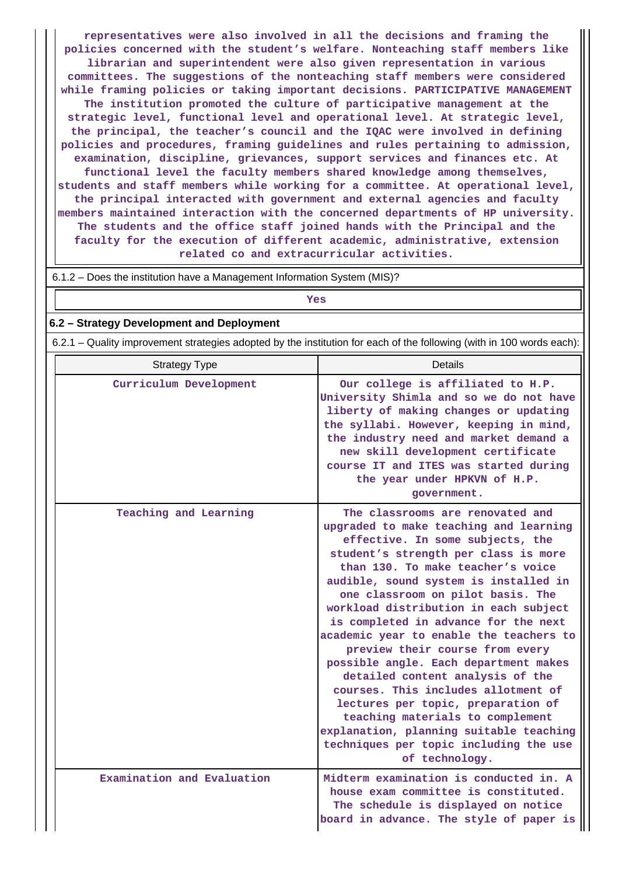**representatives were also involved in all the decisions and framing the policies concerned with the student's welfare. Nonteaching staff members like librarian and superintendent were also given representation in various committees. The suggestions of the nonteaching staff members were considered while framing policies or taking important decisions. PARTICIPATIVE MANAGEMENT The institution promoted the culture of participative management at the strategic level, functional level and operational level. At strategic level, the principal, the teacher's council and the IQAC were involved in defining policies and procedures, framing guidelines and rules pertaining to admission, examination, discipline, grievances, support services and finances etc. At functional level the faculty members shared knowledge among themselves, students and staff members while working for a committee. At operational level, the principal interacted with government and external agencies and faculty members maintained interaction with the concerned departments of HP university. The students and the office staff joined hands with the Principal and the faculty for the execution of different academic, administrative, extension related co and extracurricular activities.**

6.1.2 – Does the institution have a Management Information System (MIS)?

## *Yes*

#### **6.2 – Strategy Development and Deployment**

6.2.1 – Quality improvement strategies adopted by the institution for each of the following (with in 100 words each):

| <b>Strategy Type</b>       | <b>Details</b>                                                                                                                                                                                                                                                                                                                                                                                                                                                                                                                                                                                                                                                                                                                                |
|----------------------------|-----------------------------------------------------------------------------------------------------------------------------------------------------------------------------------------------------------------------------------------------------------------------------------------------------------------------------------------------------------------------------------------------------------------------------------------------------------------------------------------------------------------------------------------------------------------------------------------------------------------------------------------------------------------------------------------------------------------------------------------------|
| Curriculum Development     | Our college is affiliated to H.P.<br>University Shimla and so we do not have<br>liberty of making changes or updating<br>the syllabi. However, keeping in mind,<br>the industry need and market demand a<br>new skill development certificate<br>course IT and ITES was started during<br>the year under HPKVN of H.P.<br>government.                                                                                                                                                                                                                                                                                                                                                                                                         |
| Teaching and Learning      | The classrooms are renovated and<br>upgraded to make teaching and learning<br>effective. In some subjects, the<br>student's strength per class is more<br>than 130. To make teacher's voice<br>audible, sound system is installed in<br>one classroom on pilot basis. The<br>workload distribution in each subject<br>is completed in advance for the next<br>academic year to enable the teachers to<br>preview their course from every<br>possible angle. Each department makes<br>detailed content analysis of the<br>courses. This includes allotment of<br>lectures per topic, preparation of<br>teaching materials to complement<br>explanation, planning suitable teaching<br>techniques per topic including the use<br>of technology. |
| Examination and Evaluation | Midterm examination is conducted in. A<br>house exam committee is constituted.<br>The schedule is displayed on notice<br>board in advance. The style of paper is                                                                                                                                                                                                                                                                                                                                                                                                                                                                                                                                                                              |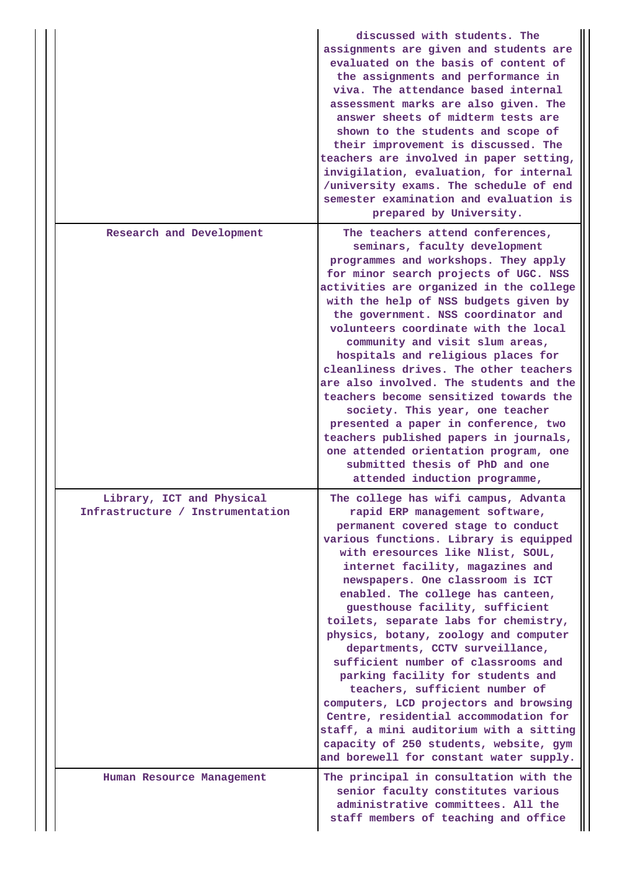|                                                               | discussed with students. The<br>assignments are given and students are<br>evaluated on the basis of content of<br>the assignments and performance in<br>viva. The attendance based internal<br>assessment marks are also given. The<br>answer sheets of midterm tests are<br>shown to the students and scope of<br>their improvement is discussed. The<br>teachers are involved in paper setting,<br>invigilation, evaluation, for internal<br>/university exams. The schedule of end<br>semester examination and evaluation is<br>prepared by University.                                                                                                                                                                                                                                        |
|---------------------------------------------------------------|---------------------------------------------------------------------------------------------------------------------------------------------------------------------------------------------------------------------------------------------------------------------------------------------------------------------------------------------------------------------------------------------------------------------------------------------------------------------------------------------------------------------------------------------------------------------------------------------------------------------------------------------------------------------------------------------------------------------------------------------------------------------------------------------------|
| Research and Development                                      | The teachers attend conferences,<br>seminars, faculty development<br>programmes and workshops. They apply<br>for minor search projects of UGC. NSS<br>activities are organized in the college<br>with the help of NSS budgets given by<br>the government. NSS coordinator and<br>volunteers coordinate with the local<br>community and visit slum areas,<br>hospitals and religious places for<br>cleanliness drives. The other teachers<br>are also involved. The students and the<br>teachers become sensitized towards the<br>society. This year, one teacher<br>presented a paper in conference, two<br>teachers published papers in journals,<br>one attended orientation program, one<br>submitted thesis of PhD and one<br>attended induction programme,                                   |
| Library, ICT and Physical<br>Infrastructure / Instrumentation | The college has wifi campus, Advanta<br>rapid ERP management software,<br>permanent covered stage to conduct<br>various functions. Library is equipped<br>with eresources like Nlist, SOUL,<br>internet facility, magazines and<br>newspapers. One classroom is ICT<br>enabled. The college has canteen,<br>guesthouse facility, sufficient<br>toilets, separate labs for chemistry,<br>physics, botany, zoology and computer<br>departments, CCTV surveillance,<br>sufficient number of classrooms and<br>parking facility for students and<br>teachers, sufficient number of<br>computers, LCD projectors and browsing<br>Centre, residential accommodation for<br>staff, a mini auditorium with a sitting<br>capacity of 250 students, website, gym<br>and borewell for constant water supply. |
| Human Resource Management                                     | The principal in consultation with the<br>senior faculty constitutes various<br>administrative committees. All the<br>staff members of teaching and office                                                                                                                                                                                                                                                                                                                                                                                                                                                                                                                                                                                                                                        |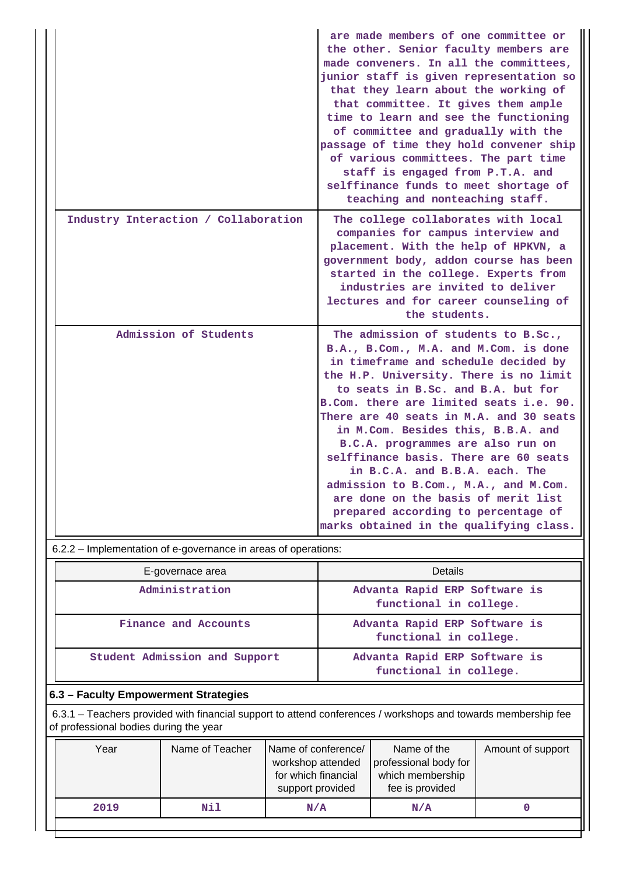|                                      | are made members of one committee or<br>the other. Senior faculty members are<br>made conveners. In all the committees,<br>junior staff is given representation so<br>that they learn about the working of<br>that committee. It gives them ample<br>time to learn and see the functioning<br>of committee and gradually with the<br>passage of time they hold convener ship<br>of various committees. The part time<br>staff is engaged from P.T.A. and<br>selffinance funds to meet shortage of<br>teaching and nonteaching staff.                                                                               |
|--------------------------------------|--------------------------------------------------------------------------------------------------------------------------------------------------------------------------------------------------------------------------------------------------------------------------------------------------------------------------------------------------------------------------------------------------------------------------------------------------------------------------------------------------------------------------------------------------------------------------------------------------------------------|
| Industry Interaction / Collaboration | The college collaborates with local<br>companies for campus interview and<br>placement. With the help of HPKVN, a<br>government body, addon course has been<br>started in the college. Experts from<br>industries are invited to deliver<br>lectures and for career counseling of<br>the students.                                                                                                                                                                                                                                                                                                                 |
| Admission of Students                | The admission of students to B.Sc.,<br>B.A., B.Com., M.A. and M.Com. is done<br>in timeframe and schedule decided by<br>the H.P. University. There is no limit<br>to seats in B.Sc. and B.A. but for<br>B.Com. there are limited seats i.e. 90.<br>There are 40 seats in M.A. and 30 seats<br>in M.Com. Besides this, B.B.A. and<br>B.C.A. programmes are also run on<br>selffinance basis. There are 60 seats<br>in B.C.A. and B.B.A. each. The<br>admission to B.Com., M.A., and M.Com.<br>are done on the basis of merit list<br>prepared according to percentage of<br>marks obtained in the qualifying class. |

6.2.2 – Implementation of e-governance in areas of operations:

| E-governace area              | Details                                                 |  |  |  |
|-------------------------------|---------------------------------------------------------|--|--|--|
| Administration                | Advanta Rapid ERP Software is<br>functional in college. |  |  |  |
| Finance and Accounts          | Advanta Rapid ERP Software is<br>functional in college. |  |  |  |
| Student Admission and Support | Advanta Rapid ERP Software is<br>functional in college. |  |  |  |

## **6.3 – Faculty Empowerment Strategies**

 6.3.1 – Teachers provided with financial support to attend conferences / workshops and towards membership fee of professional bodies during the year

| Year | Name of Teacher | Name of conference/<br>workshop attended<br>for which financial<br>support provided | Name of the<br>professional body for<br>which membership<br>fee is provided | Amount of support |
|------|-----------------|-------------------------------------------------------------------------------------|-----------------------------------------------------------------------------|-------------------|
| 2019 | Nil             | N/A                                                                                 | N/A                                                                         |                   |
|      |                 |                                                                                     |                                                                             |                   |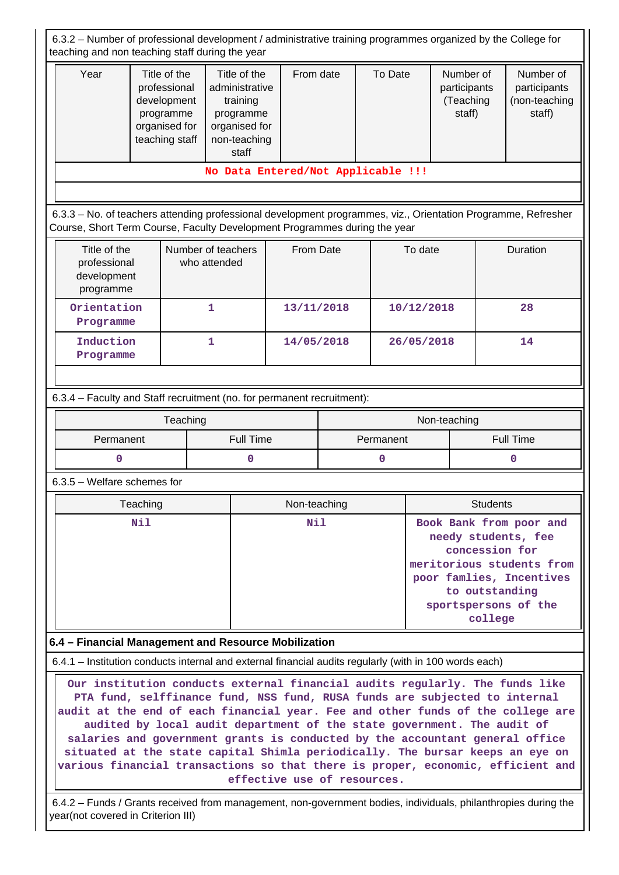| 6.3.2 - Number of professional development / administrative training programmes organized by the College for<br>teaching and non teaching staff during the year                                                                                                                                                                                                                                                                                                                                                                                                                                                                                                                                                       |                                                                                                                                                                                       |                                                                                                   |              |   |           |            |                                                  |                                                      |  |  |  |
|-----------------------------------------------------------------------------------------------------------------------------------------------------------------------------------------------------------------------------------------------------------------------------------------------------------------------------------------------------------------------------------------------------------------------------------------------------------------------------------------------------------------------------------------------------------------------------------------------------------------------------------------------------------------------------------------------------------------------|---------------------------------------------------------------------------------------------------------------------------------------------------------------------------------------|---------------------------------------------------------------------------------------------------|--------------|---|-----------|------------|--------------------------------------------------|------------------------------------------------------|--|--|--|
| Year                                                                                                                                                                                                                                                                                                                                                                                                                                                                                                                                                                                                                                                                                                                  | Title of the<br>professional<br>development<br>programme<br>organised for<br>teaching staff                                                                                           | Title of the<br>administrative<br>training<br>programme<br>organised for<br>non-teaching<br>staff | From date    |   | To Date   |            | Number of<br>participants<br>(Teaching<br>staff) | Number of<br>participants<br>(non-teaching<br>staff) |  |  |  |
| No Data Entered/Not Applicable !!!                                                                                                                                                                                                                                                                                                                                                                                                                                                                                                                                                                                                                                                                                    |                                                                                                                                                                                       |                                                                                                   |              |   |           |            |                                                  |                                                      |  |  |  |
| 6.3.3 - No. of teachers attending professional development programmes, viz., Orientation Programme, Refresher                                                                                                                                                                                                                                                                                                                                                                                                                                                                                                                                                                                                         |                                                                                                                                                                                       |                                                                                                   |              |   |           |            |                                                  |                                                      |  |  |  |
| Course, Short Term Course, Faculty Development Programmes during the year                                                                                                                                                                                                                                                                                                                                                                                                                                                                                                                                                                                                                                             |                                                                                                                                                                                       |                                                                                                   |              |   |           |            |                                                  |                                                      |  |  |  |
| Title of the<br>professional<br>development<br>programme                                                                                                                                                                                                                                                                                                                                                                                                                                                                                                                                                                                                                                                              | Number of teachers<br>who attended                                                                                                                                                    |                                                                                                   | From Date    |   |           | To date    |                                                  | Duration                                             |  |  |  |
| Orientation<br>Programme                                                                                                                                                                                                                                                                                                                                                                                                                                                                                                                                                                                                                                                                                              | $\mathbf{1}$                                                                                                                                                                          |                                                                                                   | 13/11/2018   |   |           | 10/12/2018 |                                                  | 28                                                   |  |  |  |
| Induction<br>Programme                                                                                                                                                                                                                                                                                                                                                                                                                                                                                                                                                                                                                                                                                                | 1                                                                                                                                                                                     |                                                                                                   | 14/05/2018   |   |           | 26/05/2018 |                                                  | 14                                                   |  |  |  |
|                                                                                                                                                                                                                                                                                                                                                                                                                                                                                                                                                                                                                                                                                                                       |                                                                                                                                                                                       |                                                                                                   |              |   |           |            |                                                  |                                                      |  |  |  |
| 6.3.4 - Faculty and Staff recruitment (no. for permanent recruitment):                                                                                                                                                                                                                                                                                                                                                                                                                                                                                                                                                                                                                                                |                                                                                                                                                                                       |                                                                                                   |              |   |           |            |                                                  |                                                      |  |  |  |
|                                                                                                                                                                                                                                                                                                                                                                                                                                                                                                                                                                                                                                                                                                                       | Teaching                                                                                                                                                                              |                                                                                                   |              |   |           |            | Non-teaching                                     |                                                      |  |  |  |
| Permanent                                                                                                                                                                                                                                                                                                                                                                                                                                                                                                                                                                                                                                                                                                             |                                                                                                                                                                                       | <b>Full Time</b>                                                                                  |              |   | Permanent |            |                                                  | <b>Full Time</b>                                     |  |  |  |
| 0                                                                                                                                                                                                                                                                                                                                                                                                                                                                                                                                                                                                                                                                                                                     |                                                                                                                                                                                       | 0                                                                                                 |              | 0 |           |            |                                                  | 0                                                    |  |  |  |
| $6.3.5$ – Welfare schemes for                                                                                                                                                                                                                                                                                                                                                                                                                                                                                                                                                                                                                                                                                         |                                                                                                                                                                                       |                                                                                                   |              |   |           |            |                                                  |                                                      |  |  |  |
| Teaching                                                                                                                                                                                                                                                                                                                                                                                                                                                                                                                                                                                                                                                                                                              |                                                                                                                                                                                       |                                                                                                   | Non-teaching |   |           |            | <b>Students</b>                                  |                                                      |  |  |  |
| N11                                                                                                                                                                                                                                                                                                                                                                                                                                                                                                                                                                                                                                                                                                                   | Nil<br>Book Bank from poor and<br>needy students, fee<br>concession for<br>meritorious students from<br>poor famlies, Incentives<br>to outstanding<br>sportspersons of the<br>college |                                                                                                   |              |   |           |            |                                                  |                                                      |  |  |  |
| 6.4 - Financial Management and Resource Mobilization                                                                                                                                                                                                                                                                                                                                                                                                                                                                                                                                                                                                                                                                  |                                                                                                                                                                                       |                                                                                                   |              |   |           |            |                                                  |                                                      |  |  |  |
|                                                                                                                                                                                                                                                                                                                                                                                                                                                                                                                                                                                                                                                                                                                       |                                                                                                                                                                                       |                                                                                                   |              |   |           |            |                                                  |                                                      |  |  |  |
| 6.4.1 – Institution conducts internal and external financial audits regularly (with in 100 words each)<br>Our institution conducts external financial audits regularly. The funds like<br>PTA fund, selffinance fund, NSS fund, RUSA funds are subjected to internal<br>audit at the end of each financial year. Fee and other funds of the college are<br>audited by local audit department of the state government. The audit of<br>salaries and government grants is conducted by the accountant general office<br>situated at the state capital Shimla periodically. The bursar keeps an eye on<br>various financial transactions so that there is proper, economic, efficient and<br>effective use of resources. |                                                                                                                                                                                       |                                                                                                   |              |   |           |            |                                                  |                                                      |  |  |  |
| year(not covered in Criterion III)                                                                                                                                                                                                                                                                                                                                                                                                                                                                                                                                                                                                                                                                                    | 6.4.2 - Funds / Grants received from management, non-government bodies, individuals, philanthropies during the                                                                        |                                                                                                   |              |   |           |            |                                                  |                                                      |  |  |  |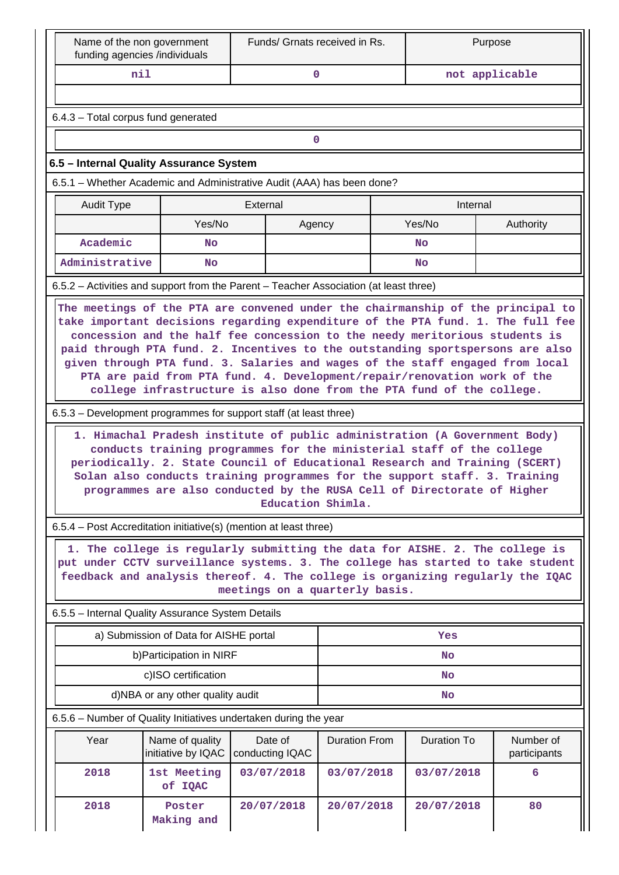| Name of the non government<br>funding agencies /individuals                                                                                                       |                                                                                                                                                                                                                                                                                                                                                                                                                                                                                                                                                                                                                                 | Funds/ Grnats received in Rs.                                                                                  | Purpose              |                    |                           |  |  |  |  |  |  |  |  |
|-------------------------------------------------------------------------------------------------------------------------------------------------------------------|---------------------------------------------------------------------------------------------------------------------------------------------------------------------------------------------------------------------------------------------------------------------------------------------------------------------------------------------------------------------------------------------------------------------------------------------------------------------------------------------------------------------------------------------------------------------------------------------------------------------------------|----------------------------------------------------------------------------------------------------------------|----------------------|--------------------|---------------------------|--|--|--|--|--|--|--|--|
| nil                                                                                                                                                               |                                                                                                                                                                                                                                                                                                                                                                                                                                                                                                                                                                                                                                 | $\mathbf{0}$                                                                                                   |                      |                    | not applicable            |  |  |  |  |  |  |  |  |
|                                                                                                                                                                   |                                                                                                                                                                                                                                                                                                                                                                                                                                                                                                                                                                                                                                 |                                                                                                                |                      |                    |                           |  |  |  |  |  |  |  |  |
| 6.4.3 - Total corpus fund generated                                                                                                                               |                                                                                                                                                                                                                                                                                                                                                                                                                                                                                                                                                                                                                                 |                                                                                                                |                      |                    |                           |  |  |  |  |  |  |  |  |
| $\mathbf 0$                                                                                                                                                       |                                                                                                                                                                                                                                                                                                                                                                                                                                                                                                                                                                                                                                 |                                                                                                                |                      |                    |                           |  |  |  |  |  |  |  |  |
| 6.5 - Internal Quality Assurance System                                                                                                                           |                                                                                                                                                                                                                                                                                                                                                                                                                                                                                                                                                                                                                                 |                                                                                                                |                      |                    |                           |  |  |  |  |  |  |  |  |
|                                                                                                                                                                   | 6.5.1 – Whether Academic and Administrative Audit (AAA) has been done?                                                                                                                                                                                                                                                                                                                                                                                                                                                                                                                                                          |                                                                                                                |                      |                    |                           |  |  |  |  |  |  |  |  |
| Audit Type                                                                                                                                                        |                                                                                                                                                                                                                                                                                                                                                                                                                                                                                                                                                                                                                                 | External                                                                                                       |                      | Internal           |                           |  |  |  |  |  |  |  |  |
|                                                                                                                                                                   | Yes/No                                                                                                                                                                                                                                                                                                                                                                                                                                                                                                                                                                                                                          | Agency                                                                                                         |                      | Yes/No             | Authority                 |  |  |  |  |  |  |  |  |
| Academic                                                                                                                                                          | <b>No</b>                                                                                                                                                                                                                                                                                                                                                                                                                                                                                                                                                                                                                       |                                                                                                                |                      | No                 |                           |  |  |  |  |  |  |  |  |
| Administrative                                                                                                                                                    | <b>No</b>                                                                                                                                                                                                                                                                                                                                                                                                                                                                                                                                                                                                                       |                                                                                                                |                      | <b>No</b>          |                           |  |  |  |  |  |  |  |  |
| 6.5.2 - Activities and support from the Parent - Teacher Association (at least three)                                                                             |                                                                                                                                                                                                                                                                                                                                                                                                                                                                                                                                                                                                                                 |                                                                                                                |                      |                    |                           |  |  |  |  |  |  |  |  |
| Solan also conducts training programmes for the support staff. 3. Training                                                                                        | paid through PTA fund. 2. Incentives to the outstanding sportspersons are also<br>given through PTA fund. 3. Salaries and wages of the staff engaged from local<br>PTA are paid from PTA fund. 4. Development/repair/renovation work of the<br>college infrastructure is also done from the PTA fund of the college.<br>6.5.3 – Development programmes for support staff (at least three)<br>1. Himachal Pradesh institute of public administration (A Government Body)<br>conducts training programmes for the ministerial staff of the college<br>periodically. 2. State Council of Educational Research and Training (SCERT) |                                                                                                                |                      |                    |                           |  |  |  |  |  |  |  |  |
|                                                                                                                                                                   |                                                                                                                                                                                                                                                                                                                                                                                                                                                                                                                                                                                                                                 | programmes are also conducted by the RUSA Cell of Directorate of Higher<br>Education Shimla.                   |                      |                    |                           |  |  |  |  |  |  |  |  |
| 6.5.4 – Post Accreditation initiative(s) (mention at least three)                                                                                                 |                                                                                                                                                                                                                                                                                                                                                                                                                                                                                                                                                                                                                                 |                                                                                                                |                      |                    |                           |  |  |  |  |  |  |  |  |
| put under CCTV surveillance systems. 3. The college has started to take student<br>feedback and analysis thereof. 4. The college is organizing regularly the IQAC |                                                                                                                                                                                                                                                                                                                                                                                                                                                                                                                                                                                                                                 | 1. The college is regularly submitting the data for AISHE. 2. The college is<br>meetings on a quarterly basis. |                      |                    |                           |  |  |  |  |  |  |  |  |
| 6.5.5 - Internal Quality Assurance System Details                                                                                                                 |                                                                                                                                                                                                                                                                                                                                                                                                                                                                                                                                                                                                                                 |                                                                                                                |                      |                    |                           |  |  |  |  |  |  |  |  |
|                                                                                                                                                                   | a) Submission of Data for AISHE portal                                                                                                                                                                                                                                                                                                                                                                                                                                                                                                                                                                                          |                                                                                                                |                      | Yes                |                           |  |  |  |  |  |  |  |  |
|                                                                                                                                                                   | b) Participation in NIRF                                                                                                                                                                                                                                                                                                                                                                                                                                                                                                                                                                                                        |                                                                                                                |                      | <b>No</b>          |                           |  |  |  |  |  |  |  |  |
|                                                                                                                                                                   | c)ISO certification                                                                                                                                                                                                                                                                                                                                                                                                                                                                                                                                                                                                             |                                                                                                                |                      | <b>No</b>          |                           |  |  |  |  |  |  |  |  |
|                                                                                                                                                                   | d)NBA or any other quality audit                                                                                                                                                                                                                                                                                                                                                                                                                                                                                                                                                                                                |                                                                                                                |                      | No                 |                           |  |  |  |  |  |  |  |  |
| 6.5.6 - Number of Quality Initiatives undertaken during the year                                                                                                  |                                                                                                                                                                                                                                                                                                                                                                                                                                                                                                                                                                                                                                 |                                                                                                                |                      |                    |                           |  |  |  |  |  |  |  |  |
| Year                                                                                                                                                              | Name of quality<br>initiative by IQAC                                                                                                                                                                                                                                                                                                                                                                                                                                                                                                                                                                                           | Date of<br>conducting IQAC                                                                                     | <b>Duration From</b> | <b>Duration To</b> | Number of<br>participants |  |  |  |  |  |  |  |  |
| 2018                                                                                                                                                              | 1st Meeting<br>of IQAC                                                                                                                                                                                                                                                                                                                                                                                                                                                                                                                                                                                                          | 03/07/2018                                                                                                     | 03/07/2018           | 03/07/2018         | 6                         |  |  |  |  |  |  |  |  |
| 2018                                                                                                                                                              | Poster<br>Making and                                                                                                                                                                                                                                                                                                                                                                                                                                                                                                                                                                                                            | 20/07/2018                                                                                                     | 20/07/2018           | 20/07/2018         | 80                        |  |  |  |  |  |  |  |  |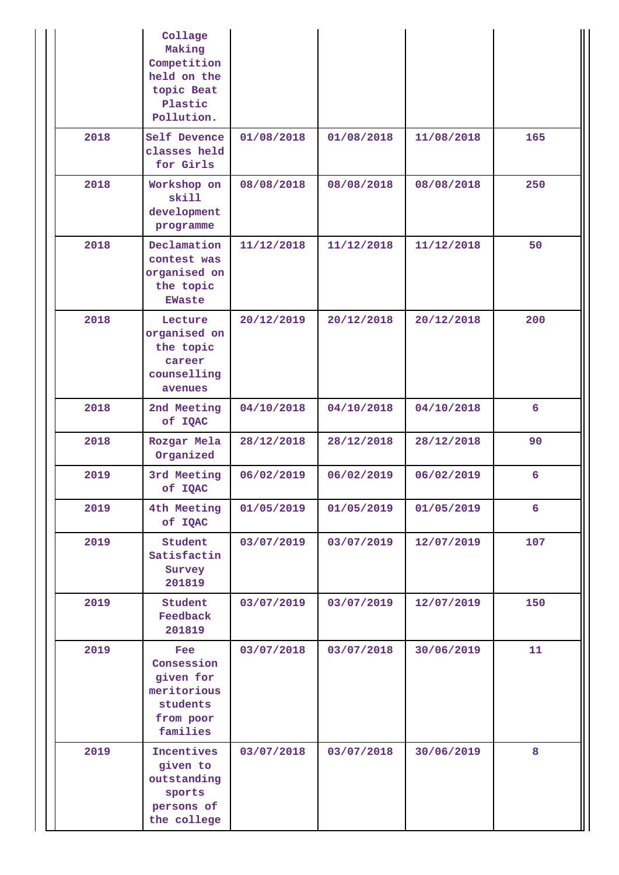|      | Collage<br>Making<br>Competition<br>held on the<br>topic Beat<br>Plastic<br>Pollution. |            |            |            |     |
|------|----------------------------------------------------------------------------------------|------------|------------|------------|-----|
| 2018 | Self Devence<br>classes held<br>for Girls                                              | 01/08/2018 | 01/08/2018 | 11/08/2018 | 165 |
| 2018 | Workshop on<br>skill<br>development<br>programme                                       | 08/08/2018 | 08/08/2018 | 08/08/2018 | 250 |
| 2018 | Declamation<br>contest was<br>organised on<br>the topic<br><b>EWaste</b>               | 11/12/2018 | 11/12/2018 | 11/12/2018 | 50  |
| 2018 | Lecture<br>organised on<br>the topic<br>career<br>counselling<br>avenues               | 20/12/2019 | 20/12/2018 | 20/12/2018 | 200 |
| 2018 | 2nd Meeting<br>of IQAC                                                                 | 04/10/2018 | 04/10/2018 | 04/10/2018 | 6   |
| 2018 | Rozgar Mela<br>Organized                                                               | 28/12/2018 | 28/12/2018 | 28/12/2018 | 90  |
| 2019 | 3rd Meeting<br>of IQAC                                                                 | 06/02/2019 | 06/02/2019 | 06/02/2019 | 6   |
| 2019 | 4th Meeting<br>of IQAC                                                                 | 01/05/2019 | 01/05/2019 | 01/05/2019 | 6   |
| 2019 | Student<br>Satisfactin<br>Survey<br>201819                                             | 03/07/2019 | 03/07/2019 | 12/07/2019 | 107 |
| 2019 | Student<br>Feedback<br>201819                                                          | 03/07/2019 | 03/07/2019 | 12/07/2019 | 150 |
| 2019 | Fee<br>Consession<br>given for<br>meritorious<br>students<br>from poor<br>families     | 03/07/2018 | 03/07/2018 | 30/06/2019 | 11  |
| 2019 | Incentives<br>given to<br>outstanding<br>sports<br>persons of<br>the college           | 03/07/2018 | 03/07/2018 | 30/06/2019 | 8   |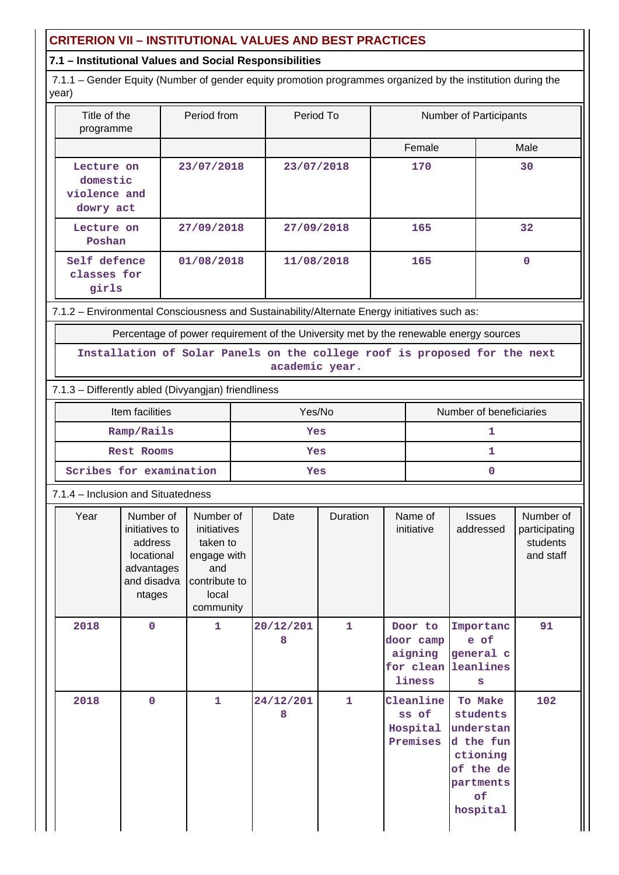## **CRITERION VII – INSTITUTIONAL VALUES AND BEST PRACTICES**

## **7.1 – Institutional Values and Social Responsibilities**

 7.1.1 – Gender Equity (Number of gender equity promotion programmes organized by the institution during the year)

| Title of the<br>programme                           | Period from | Period To  | <b>Number of Participants</b> |      |
|-----------------------------------------------------|-------------|------------|-------------------------------|------|
|                                                     |             |            | Female                        | Male |
| Lecture on<br>domestic<br>violence and<br>dowry act | 23/07/2018  | 23/07/2018 | 170                           | 30   |
| Lecture on<br>Poshan                                | 27/09/2018  | 27/09/2018 | 165                           | 32   |
| Self defence<br>classes for<br>girls                | 01/08/2018  | 11/08/2018 | 165                           | 0    |

7.1.2 – Environmental Consciousness and Sustainability/Alternate Energy initiatives such as:

Percentage of power requirement of the University met by the renewable energy sources

**Installation of Solar Panels on the college roof is proposed for the next academic year.**

## 7.1.3 – Differently abled (Divyangjan) friendliness

| Item facilities         | Yes/No | Number of beneficiaries |
|-------------------------|--------|-------------------------|
| Ramp/Rails              | Yes    |                         |
| <b>Rest Rooms</b>       | Yes    |                         |
| Scribes for examination | Yes    |                         |

### 7.1.4 – Inclusion and Situatedness

| Year | Number of<br>initiatives to<br>address<br>locational<br>advantages<br>and disadva<br>ntages | Number of<br>initiatives<br>taken to<br>engage with<br>and<br>contribute to<br>local<br>community | Date           | Duration     | Name of<br>initiative                                            | <b>Issues</b><br>addressed                                                                            | Number of<br>participating<br>students<br>and staff |
|------|---------------------------------------------------------------------------------------------|---------------------------------------------------------------------------------------------------|----------------|--------------|------------------------------------------------------------------|-------------------------------------------------------------------------------------------------------|-----------------------------------------------------|
| 2018 | $\mathbf 0$                                                                                 | $\mathbf{1}$                                                                                      | 20/12/201<br>8 | $\mathbf{1}$ | Door to<br>door camp<br>aigning<br>for clean leanlines<br>liness | Importanc<br>e of<br>general c<br>s                                                                   | 91                                                  |
| 2018 | $\mathbf 0$                                                                                 | 1                                                                                                 | 24/12/201<br>8 | 1            | Cleanline<br>ss of<br>Hospital<br>Premises                       | To Make<br>students<br>understan<br>d the fun<br>ctioning<br>of the de<br>partments<br>of<br>hospital | 102                                                 |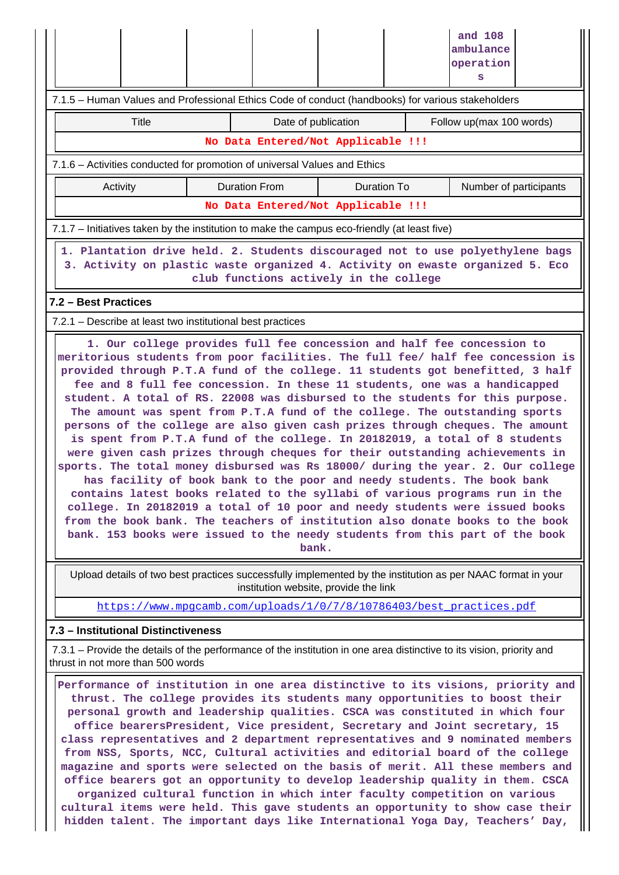|                                                                                                                                                                                                                                                                                                                                                                                                                                                                                                                                                                                                                                                                                                                                                                                                                                                                                                                                                                                                                                                                                                                                                                                                                                                  | 7.1.5 - Human Values and Professional Ethics Code of conduct (handbooks) for various stakeholders |                                       | and 108<br>ambulance<br>operation<br>s                                                                      |  |  |
|--------------------------------------------------------------------------------------------------------------------------------------------------------------------------------------------------------------------------------------------------------------------------------------------------------------------------------------------------------------------------------------------------------------------------------------------------------------------------------------------------------------------------------------------------------------------------------------------------------------------------------------------------------------------------------------------------------------------------------------------------------------------------------------------------------------------------------------------------------------------------------------------------------------------------------------------------------------------------------------------------------------------------------------------------------------------------------------------------------------------------------------------------------------------------------------------------------------------------------------------------|---------------------------------------------------------------------------------------------------|---------------------------------------|-------------------------------------------------------------------------------------------------------------|--|--|
| Title                                                                                                                                                                                                                                                                                                                                                                                                                                                                                                                                                                                                                                                                                                                                                                                                                                                                                                                                                                                                                                                                                                                                                                                                                                            |                                                                                                   | Date of publication                   | Follow up(max 100 words)                                                                                    |  |  |
|                                                                                                                                                                                                                                                                                                                                                                                                                                                                                                                                                                                                                                                                                                                                                                                                                                                                                                                                                                                                                                                                                                                                                                                                                                                  | No Data Entered/Not Applicable !!!                                                                |                                       |                                                                                                             |  |  |
|                                                                                                                                                                                                                                                                                                                                                                                                                                                                                                                                                                                                                                                                                                                                                                                                                                                                                                                                                                                                                                                                                                                                                                                                                                                  | 7.1.6 - Activities conducted for promotion of universal Values and Ethics                         |                                       |                                                                                                             |  |  |
| Activity                                                                                                                                                                                                                                                                                                                                                                                                                                                                                                                                                                                                                                                                                                                                                                                                                                                                                                                                                                                                                                                                                                                                                                                                                                         | <b>Duration From</b><br>Number of participants<br>Duration To                                     |                                       |                                                                                                             |  |  |
|                                                                                                                                                                                                                                                                                                                                                                                                                                                                                                                                                                                                                                                                                                                                                                                                                                                                                                                                                                                                                                                                                                                                                                                                                                                  | No Data Entered/Not Applicable !!!                                                                |                                       |                                                                                                             |  |  |
|                                                                                                                                                                                                                                                                                                                                                                                                                                                                                                                                                                                                                                                                                                                                                                                                                                                                                                                                                                                                                                                                                                                                                                                                                                                  | 7.1.7 – Initiatives taken by the institution to make the campus eco-friendly (at least five)      |                                       |                                                                                                             |  |  |
| 1. Plantation drive held. 2. Students discouraged not to use polyethylene bags<br>3. Activity on plastic waste organized 4. Activity on ewaste organized 5. Eco<br>club functions actively in the college                                                                                                                                                                                                                                                                                                                                                                                                                                                                                                                                                                                                                                                                                                                                                                                                                                                                                                                                                                                                                                        |                                                                                                   |                                       |                                                                                                             |  |  |
| 7.2 - Best Practices                                                                                                                                                                                                                                                                                                                                                                                                                                                                                                                                                                                                                                                                                                                                                                                                                                                                                                                                                                                                                                                                                                                                                                                                                             |                                                                                                   |                                       |                                                                                                             |  |  |
| 7.2.1 – Describe at least two institutional best practices                                                                                                                                                                                                                                                                                                                                                                                                                                                                                                                                                                                                                                                                                                                                                                                                                                                                                                                                                                                                                                                                                                                                                                                       |                                                                                                   |                                       |                                                                                                             |  |  |
| 1. Our college provides full fee concession and half fee concession to<br>meritorious students from poor facilities. The full fee/ half fee concession is<br>provided through P.T.A fund of the college. 11 students got benefitted, 3 half<br>fee and 8 full fee concession. In these 11 students, one was a handicapped<br>student. A total of RS. 22008 was disbursed to the students for this purpose.<br>The amount was spent from P.T.A fund of the college. The outstanding sports<br>persons of the college are also given cash prizes through cheques. The amount<br>is spent from P.T.A fund of the college. In 20182019, a total of 8 students<br>were given cash prizes through cheques for their outstanding achievements in<br>sports. The total money disbursed was Rs 18000/ during the year. 2. Our college<br>has facility of book bank to the poor and needy students. The book bank<br>contains latest books related to the syllabi of various programs run in the<br>college. In 20182019 a total of 10 poor and needy students were issued books<br>from the book bank. The teachers of institution also donate books to the book<br>bank. 153 books were issued to the needy students from this part of the book<br>bank. |                                                                                                   |                                       |                                                                                                             |  |  |
|                                                                                                                                                                                                                                                                                                                                                                                                                                                                                                                                                                                                                                                                                                                                                                                                                                                                                                                                                                                                                                                                                                                                                                                                                                                  |                                                                                                   | institution website, provide the link | Upload details of two best practices successfully implemented by the institution as per NAAC format in your |  |  |
|                                                                                                                                                                                                                                                                                                                                                                                                                                                                                                                                                                                                                                                                                                                                                                                                                                                                                                                                                                                                                                                                                                                                                                                                                                                  | https://www.mpgcamb.com/uploads/1/0/7/8/10786403/best practices.pdf                               |                                       |                                                                                                             |  |  |
| 7.3 - Institutional Distinctiveness                                                                                                                                                                                                                                                                                                                                                                                                                                                                                                                                                                                                                                                                                                                                                                                                                                                                                                                                                                                                                                                                                                                                                                                                              |                                                                                                   |                                       |                                                                                                             |  |  |
| 7.3.1 – Provide the details of the performance of the institution in one area distinctive to its vision, priority and<br>thrust in not more than 500 words                                                                                                                                                                                                                                                                                                                                                                                                                                                                                                                                                                                                                                                                                                                                                                                                                                                                                                                                                                                                                                                                                       |                                                                                                   |                                       |                                                                                                             |  |  |
| Performance of institution in one area distinctive to its visions, priority and<br>thrust. The college provides its students many opportunities to boost their<br>personal growth and leadership qualities. CSCA was constituted in which four<br>office bearersPresident, Vice president, Secretary and Joint secretary, 15<br>class representatives and 2 department representatives and 9 nominated members<br>from NSS, Sports, NCC, Cultural activities and editorial board of the college<br>magazine and sports were selected on the basis of merit. All these members and<br>office bearers got an opportunity to develop leadership quality in them. CSCA<br>organized cultural function in which inter faculty competition on various<br>cultural items were held. This gave students an opportunity to show case their<br>hidden talent. The important days like International Yoga Day, Teachers' Day,                                                                                                                                                                                                                                                                                                                               |                                                                                                   |                                       |                                                                                                             |  |  |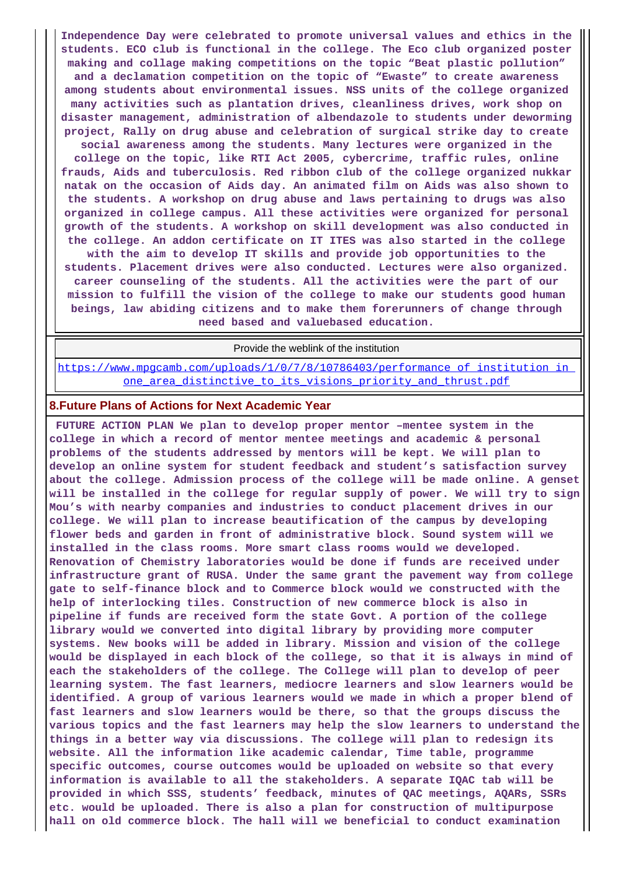**Independence Day were celebrated to promote universal values and ethics in the students. ECO club is functional in the college. The Eco club organized poster making and collage making competitions on the topic "Beat plastic pollution" and a declamation competition on the topic of "Ewaste" to create awareness among students about environmental issues. NSS units of the college organized many activities such as plantation drives, cleanliness drives, work shop on disaster management, administration of albendazole to students under deworming project, Rally on drug abuse and celebration of surgical strike day to create social awareness among the students. Many lectures were organized in the college on the topic, like RTI Act 2005, cybercrime, traffic rules, online frauds, Aids and tuberculosis. Red ribbon club of the college organized nukkar natak on the occasion of Aids day. An animated film on Aids was also shown to the students. A workshop on drug abuse and laws pertaining to drugs was also organized in college campus. All these activities were organized for personal growth of the students. A workshop on skill development was also conducted in the college. An addon certificate on IT ITES was also started in the college with the aim to develop IT skills and provide job opportunities to the students. Placement drives were also conducted. Lectures were also organized. career counseling of the students. All the activities were the part of our mission to fulfill the vision of the college to make our students good human beings, law abiding citizens and to make them forerunners of change through need based and valuebased education.**

Provide the weblink of the institution

https://www.mpgcamb.com/uploads/1/0/7/8/10786403/performance of institution in one area distinctive to its visions priority and thrust.pdf

### **8.Future Plans of Actions for Next Academic Year**

 **FUTURE ACTION PLAN We plan to develop proper mentor –mentee system in the college in which a record of mentor mentee meetings and academic & personal problems of the students addressed by mentors will be kept. We will plan to develop an online system for student feedback and student's satisfaction survey about the college. Admission process of the college will be made online. A genset will be installed in the college for regular supply of power. We will try to sign Mou's with nearby companies and industries to conduct placement drives in our college. We will plan to increase beautification of the campus by developing flower beds and garden in front of administrative block. Sound system will we installed in the class rooms. More smart class rooms would we developed. Renovation of Chemistry laboratories would be done if funds are received under infrastructure grant of RUSA. Under the same grant the pavement way from college gate to self-finance block and to Commerce block would we constructed with the help of interlocking tiles. Construction of new commerce block is also in pipeline if funds are received form the state Govt. A portion of the college library would we converted into digital library by providing more computer systems. New books will be added in library. Mission and vision of the college would be displayed in each block of the college, so that it is always in mind of each the stakeholders of the college. The College will plan to develop of peer learning system. The fast learners, mediocre learners and slow learners would be identified. A group of various learners would we made in which a proper blend of fast learners and slow learners would be there, so that the groups discuss the various topics and the fast learners may help the slow learners to understand the things in a better way via discussions. The college will plan to redesign its website. All the information like academic calendar, Time table, programme specific outcomes, course outcomes would be uploaded on website so that every information is available to all the stakeholders. A separate IQAC tab will be provided in which SSS, students' feedback, minutes of QAC meetings, AQARs, SSRs etc. would be uploaded. There is also a plan for construction of multipurpose hall on old commerce block. The hall will we beneficial to conduct examination**